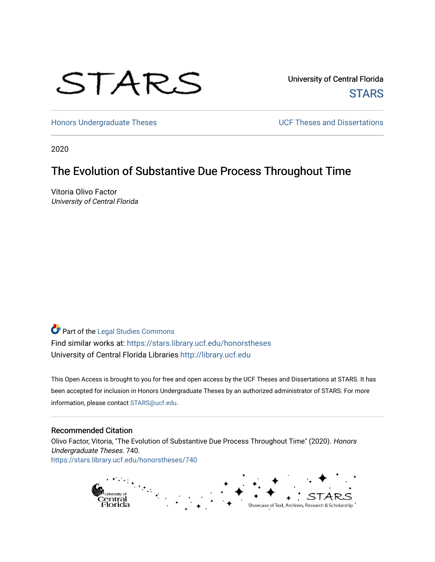# STARS

University of Central Florida **STARS** 

[Honors Undergraduate Theses](https://stars.library.ucf.edu/honorstheses) **Exercise 2 and Serverse** UCF Theses and Dissertations

2020

# The Evolution of Substantive Due Process Throughout Time

Vitoria Olivo Factor University of Central Florida

# Part of the [Legal Studies Commons](http://network.bepress.com/hgg/discipline/366?utm_source=stars.library.ucf.edu%2Fhonorstheses%2F740&utm_medium=PDF&utm_campaign=PDFCoverPages)

Find similar works at: <https://stars.library.ucf.edu/honorstheses> University of Central Florida Libraries [http://library.ucf.edu](http://library.ucf.edu/) 

This Open Access is brought to you for free and open access by the UCF Theses and Dissertations at STARS. It has been accepted for inclusion in Honors Undergraduate Theses by an authorized administrator of STARS. For more information, please contact [STARS@ucf.edu.](mailto:STARS@ucf.edu)

#### Recommended Citation

Olivo Factor, Vitoria, "The Evolution of Substantive Due Process Throughout Time" (2020). Honors Undergraduate Theses. 740. [https://stars.library.ucf.edu/honorstheses/740](https://stars.library.ucf.edu/honorstheses/740?utm_source=stars.library.ucf.edu%2Fhonorstheses%2F740&utm_medium=PDF&utm_campaign=PDFCoverPages) 

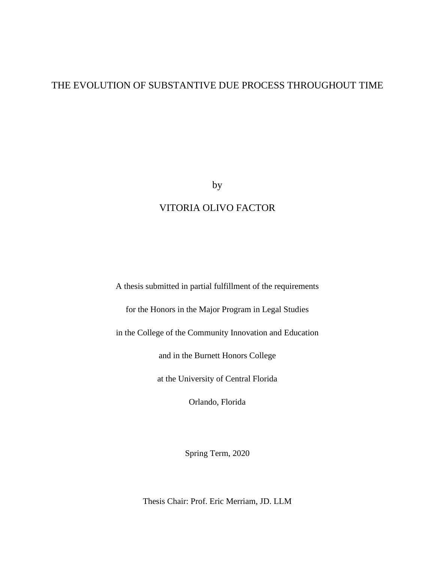# THE EVOLUTION OF SUBSTANTIVE DUE PROCESS THROUGHOUT TIME

by

# VITORIA OLIVO FACTOR

A thesis submitted in partial fulfillment of the requirements

for the Honors in the Major Program in Legal Studies

in the College of the Community Innovation and Education

and in the Burnett Honors College

at the University of Central Florida

Orlando, Florida

Spring Term, 2020

Thesis Chair: Prof. Eric Merriam, JD. LLM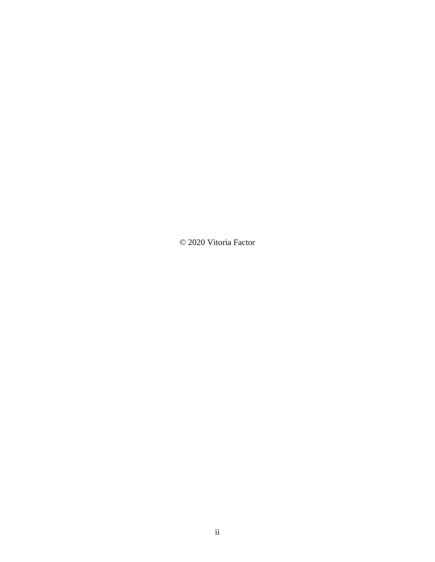© 2020 Vitoria Factor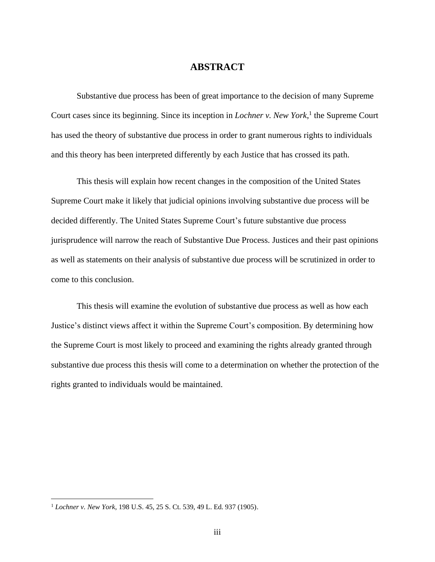## **ABSTRACT**

Substantive due process has been of great importance to the decision of many Supreme Court cases since its beginning. Since its inception in *Lochner v. New York*, 1 the Supreme Court has used the theory of substantive due process in order to grant numerous rights to individuals and this theory has been interpreted differently by each Justice that has crossed its path.

This thesis will explain how recent changes in the composition of the United States Supreme Court make it likely that judicial opinions involving substantive due process will be decided differently. The United States Supreme Court's future substantive due process jurisprudence will narrow the reach of Substantive Due Process. Justices and their past opinions as well as statements on their analysis of substantive due process will be scrutinized in order to come to this conclusion.

This thesis will examine the evolution of substantive due process as well as how each Justice's distinct views affect it within the Supreme Court's composition. By determining how the Supreme Court is most likely to proceed and examining the rights already granted through substantive due process this thesis will come to a determination on whether the protection of the rights granted to individuals would be maintained.

<sup>1</sup> *Lochner v. New York*, 198 U.S. 45, 25 S. Ct. 539, 49 L. Ed. 937 (1905).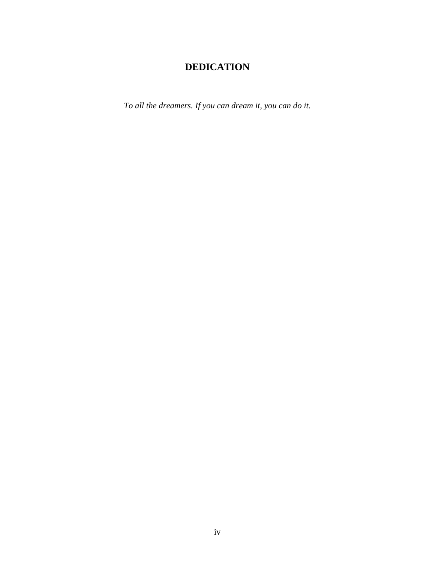# **DEDICATION**

*To all the dreamers. If you can dream it, you can do it.*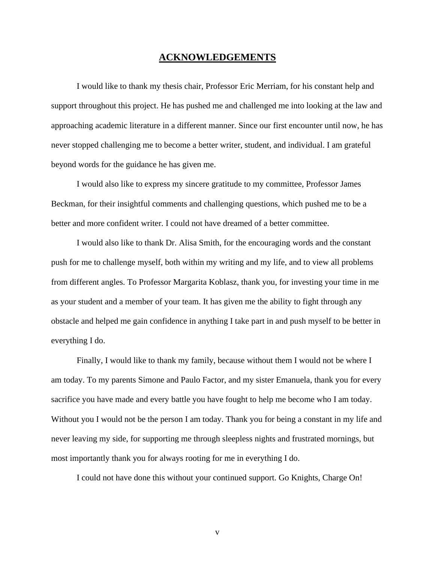# **ACKNOWLEDGEMENTS**

I would like to thank my thesis chair, Professor Eric Merriam, for his constant help and support throughout this project. He has pushed me and challenged me into looking at the law and approaching academic literature in a different manner. Since our first encounter until now, he has never stopped challenging me to become a better writer, student, and individual. I am grateful beyond words for the guidance he has given me.

I would also like to express my sincere gratitude to my committee, Professor James Beckman, for their insightful comments and challenging questions, which pushed me to be a better and more confident writer. I could not have dreamed of a better committee.

I would also like to thank Dr. Alisa Smith, for the encouraging words and the constant push for me to challenge myself, both within my writing and my life, and to view all problems from different angles. To Professor Margarita Koblasz, thank you, for investing your time in me as your student and a member of your team. It has given me the ability to fight through any obstacle and helped me gain confidence in anything I take part in and push myself to be better in everything I do.

Finally, I would like to thank my family, because without them I would not be where I am today. To my parents Simone and Paulo Factor, and my sister Emanuela, thank you for every sacrifice you have made and every battle you have fought to help me become who I am today. Without you I would not be the person I am today. Thank you for being a constant in my life and never leaving my side, for supporting me through sleepless nights and frustrated mornings, but most importantly thank you for always rooting for me in everything I do.

I could not have done this without your continued support. Go Knights, Charge On!

v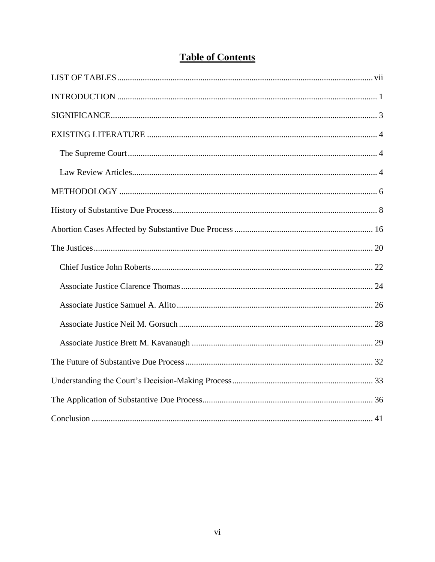# **Table of Contents**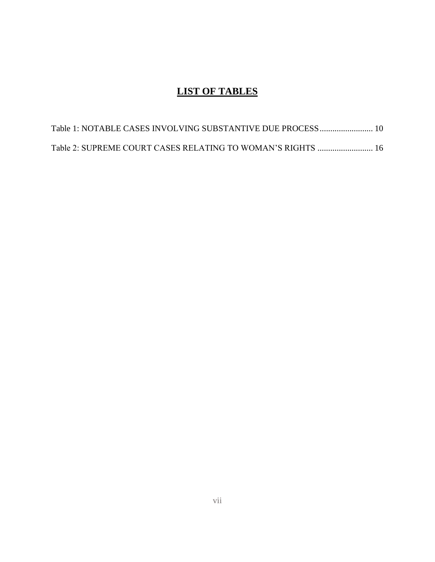# **LIST OF TABLES**

<span id="page-7-0"></span>

|  |  |  | Table 1: NOTABLE CASES INVOLVING SUBSTANTIVE DUE PROCESS 10 |  |
|--|--|--|-------------------------------------------------------------|--|
|  |  |  | Table 2: SUPREME COURT CASES RELATING TO WOMAN'S RIGHTS  16 |  |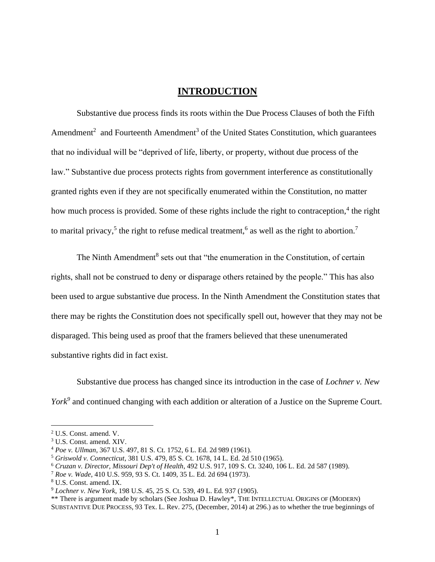# **INTRODUCTION**

<span id="page-8-0"></span>Substantive due process finds its roots within the Due Process Clauses of both the Fifth Amendment<sup>2</sup> and Fourteenth Amendment<sup>3</sup> of the United States Constitution, which guarantees that no individual will be "deprived of life, liberty, or property, without due process of the law." Substantive due process protects rights from government interference as constitutionally granted rights even if they are not specifically enumerated within the Constitution, no matter how much process is provided. Some of these rights include the right to contraception, $4$  the right to marital privacy,<sup>5</sup> the right to refuse medical treatment,<sup>6</sup> as well as the right to abortion.<sup>7</sup>

The Ninth Amendment<sup>8</sup> sets out that "the enumeration in the Constitution, of certain rights, shall not be construed to deny or disparage others retained by the people." This has also been used to argue substantive due process. In the Ninth Amendment the Constitution states that there may be rights the Constitution does not specifically spell out, however that they may not be disparaged. This being used as proof that the framers believed that these unenumerated substantive rights did in fact exist.

Substantive due process has changed since its introduction in the case of *Lochner v. New York<sup>9</sup>* and continued changing with each addition or alteration of a Justice on the Supreme Court.

\*\* There is argument made by scholars (See Joshua D. Hawley\*, THE INTELLECTUAL ORIGINS OF (MODERN) SUBSTANTIVE DUE PROCESS, 93 Tex. L. Rev. 275, (December, 2014) at 296.) as to whether the true beginnings of

<sup>2</sup> U.S. Const. amend. V.

<sup>3</sup> U.S. Const. amend. XIV.

<sup>4</sup> *Poe v. Ullman*, 367 U.S. 497, 81 S. Ct. 1752, 6 L. Ed. 2d 989 (1961).

<sup>5</sup> *Griswold v. Connecticut*, 381 U.S. 479, 85 S. Ct. 1678, 14 L. Ed. 2d 510 (1965).

<sup>6</sup> *Cruzan v. Director, Missouri Dep't of Health*, 492 U.S. 917, 109 S. Ct. 3240, 106 L. Ed. 2d 587 (1989).

<sup>7</sup> *Roe v. Wade*, 410 U.S. 959, 93 S. Ct. 1409, 35 L. Ed. 2d 694 (1973).

<sup>8</sup> U.S. Const. amend. IX.

<sup>9</sup> *Lochner v. New York*, 198 U.S. 45, 25 S. Ct. 539, 49 L. Ed. 937 (1905).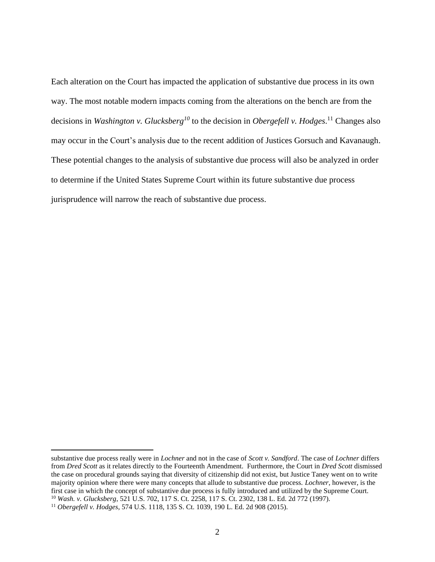Each alteration on the Court has impacted the application of substantive due process in its own way. The most notable modern impacts coming from the alterations on the bench are from the decisions in *Washington v. Glucksberg<sup>10</sup>* to the decision in *Obergefell v. Hodges*. <sup>11</sup> Changes also may occur in the Court's analysis due to the recent addition of Justices Gorsuch and Kavanaugh. These potential changes to the analysis of substantive due process will also be analyzed in order to determine if the United States Supreme Court within its future substantive due process jurisprudence will narrow the reach of substantive due process.

substantive due process really were in *Lochner* and not in the case of *Scott v. Sandford*. The case of *Lochner* differs from *Dred Scott* as it relates directly to the Fourteenth Amendment. Furthermore, the Court in *Dred Scott* dismissed the case on procedural grounds saying that diversity of citizenship did not exist, but Justice Taney went on to write majority opinion where there were many concepts that allude to substantive due process. *Lochner*, however, is the first case in which the concept of substantive due process is fully introduced and utilized by the Supreme Court. <sup>10</sup> *Wash. v. Glucksberg*, 521 U.S. 702, 117 S. Ct. 2258, 117 S. Ct. 2302, 138 L. Ed. 2d 772 (1997).

<sup>11</sup> *Obergefell v. Hodges*, 574 U.S. 1118, 135 S. Ct. 1039, 190 L. Ed. 2d 908 (2015).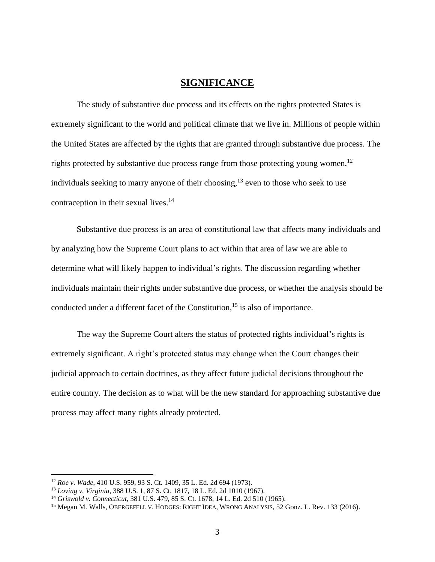## **SIGNIFICANCE**

<span id="page-10-0"></span>The study of substantive due process and its effects on the rights protected States is extremely significant to the world and political climate that we live in. Millions of people within the United States are affected by the rights that are granted through substantive due process. The rights protected by substantive due process range from those protecting young women,<sup>12</sup> individuals seeking to marry anyone of their choosing,  $13$  even to those who seek to use contraception in their sexual lives.<sup>14</sup>

Substantive due process is an area of constitutional law that affects many individuals and by analyzing how the Supreme Court plans to act within that area of law we are able to determine what will likely happen to individual's rights. The discussion regarding whether individuals maintain their rights under substantive due process, or whether the analysis should be conducted under a different facet of the Constitution,<sup>15</sup> is also of importance.

The way the Supreme Court alters the status of protected rights individual's rights is extremely significant. A right's protected status may change when the Court changes their judicial approach to certain doctrines, as they affect future judicial decisions throughout the entire country. The decision as to what will be the new standard for approaching substantive due process may affect many rights already protected.

<sup>12</sup> *Roe v. Wade*, 410 U.S. 959, 93 S. Ct. 1409, 35 L. Ed. 2d 694 (1973).

<sup>13</sup> *Loving v. Virginia*, 388 U.S. 1, 87 S. Ct. 1817, 18 L. Ed. 2d 1010 (1967).

<sup>14</sup> *Griswold v. Connecticut*, 381 U.S. 479, 85 S. Ct. 1678, 14 L. Ed. 2d 510 (1965).

<sup>&</sup>lt;sup>15</sup> Megan M. Walls, OBERGEFELL V. HODGES: RIGHT IDEA, WRONG ANALYSIS, 52 Gonz. L. Rev. 133 (2016).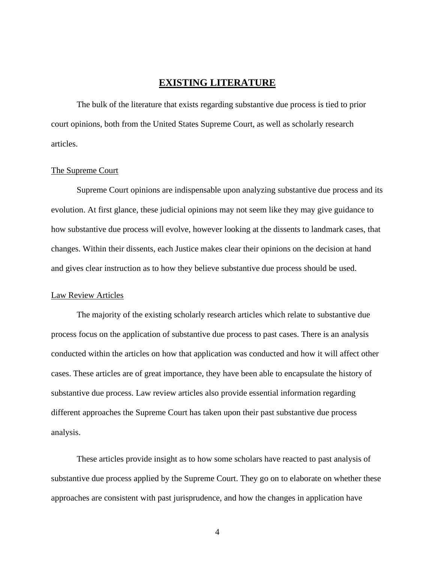# **EXISTING LITERATURE**

<span id="page-11-0"></span>The bulk of the literature that exists regarding substantive due process is tied to prior court opinions, both from the United States Supreme Court, as well as scholarly research articles.

#### <span id="page-11-1"></span>The Supreme Court

Supreme Court opinions are indispensable upon analyzing substantive due process and its evolution. At first glance, these judicial opinions may not seem like they may give guidance to how substantive due process will evolve, however looking at the dissents to landmark cases, that changes. Within their dissents, each Justice makes clear their opinions on the decision at hand and gives clear instruction as to how they believe substantive due process should be used.

#### <span id="page-11-2"></span>Law Review Articles

The majority of the existing scholarly research articles which relate to substantive due process focus on the application of substantive due process to past cases. There is an analysis conducted within the articles on how that application was conducted and how it will affect other cases. These articles are of great importance, they have been able to encapsulate the history of substantive due process. Law review articles also provide essential information regarding different approaches the Supreme Court has taken upon their past substantive due process analysis.

These articles provide insight as to how some scholars have reacted to past analysis of substantive due process applied by the Supreme Court. They go on to elaborate on whether these approaches are consistent with past jurisprudence, and how the changes in application have

4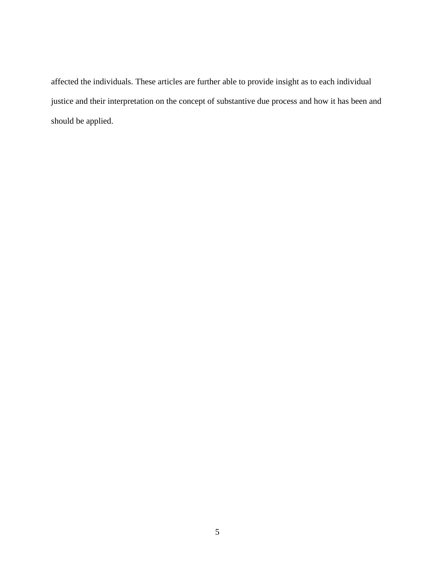affected the individuals. These articles are further able to provide insight as to each individual justice and their interpretation on the concept of substantive due process and how it has been and should be applied.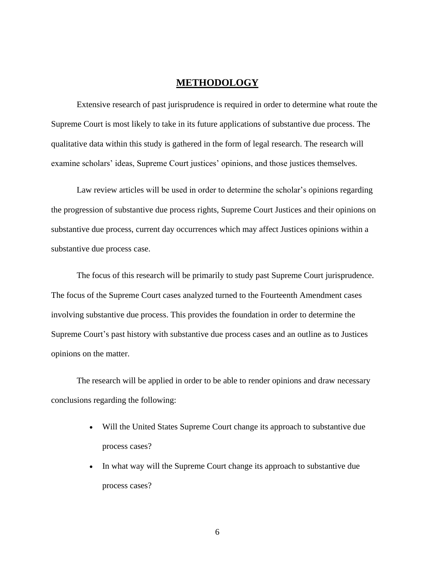## **METHODOLOGY**

<span id="page-13-0"></span>Extensive research of past jurisprudence is required in order to determine what route the Supreme Court is most likely to take in its future applications of substantive due process. The qualitative data within this study is gathered in the form of legal research. The research will examine scholars' ideas, Supreme Court justices' opinions, and those justices themselves.

Law review articles will be used in order to determine the scholar's opinions regarding the progression of substantive due process rights, Supreme Court Justices and their opinions on substantive due process, current day occurrences which may affect Justices opinions within a substantive due process case.

The focus of this research will be primarily to study past Supreme Court jurisprudence. The focus of the Supreme Court cases analyzed turned to the Fourteenth Amendment cases involving substantive due process. This provides the foundation in order to determine the Supreme Court's past history with substantive due process cases and an outline as to Justices opinions on the matter.

The research will be applied in order to be able to render opinions and draw necessary conclusions regarding the following:

- Will the United States Supreme Court change its approach to substantive due process cases?
- In what way will the Supreme Court change its approach to substantive due process cases?

6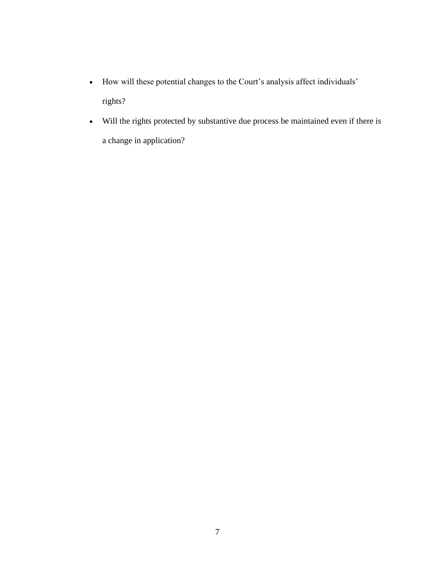- How will these potential changes to the Court's analysis affect individuals' rights?
- Will the rights protected by substantive due process be maintained even if there is a change in application?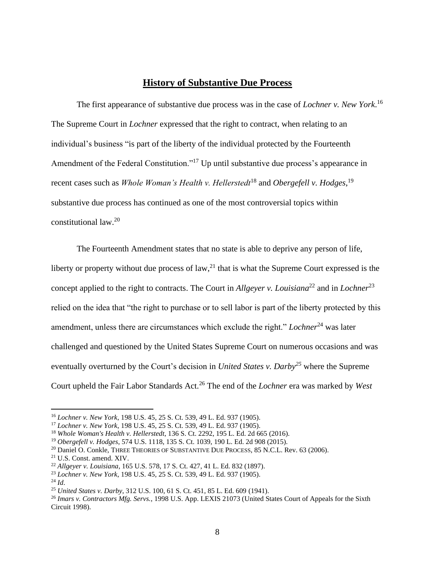## **History of Substantive Due Process**

<span id="page-15-0"></span>The first appearance of substantive due process was in the case of *Lochner v. New York*. 16 The Supreme Court in *Lochner* expressed that the right to contract, when relating to an individual's business "is part of the liberty of the individual protected by the Fourteenth Amendment of the Federal Constitution."<sup>17</sup> Up until substantive due process's appearance in recent cases such as *Whole Woman's Health v. Hellerstedt*<sup>18</sup> and *Obergefell v. Hodges*, 19 substantive due process has continued as one of the most controversial topics within constitutional law.<sup>20</sup>

The Fourteenth Amendment states that no state is able to deprive any person of life, liberty or property without due process of law, $^{21}$  that is what the Supreme Court expressed is the concept applied to the right to contracts. The Court in *Allgeyer v. Louisiana*<sup>22</sup> and in *Lochner*<sup>23</sup> relied on the idea that "the right to purchase or to sell labor is part of the liberty protected by this amendment, unless there are circumstances which exclude the right." *Lochner*<sup>24</sup> was later challenged and questioned by the United States Supreme Court on numerous occasions and was eventually overturned by the Court's decision in *United States v. Darby<sup>25</sup>* where the Supreme Court upheld the Fair Labor Standards Act.<sup>26</sup> The end of the *Lochner* era was marked by *West* 

<sup>16</sup> *Lochner v. New York*, 198 U.S. 45, 25 S. Ct. 539, 49 L. Ed. 937 (1905).

<sup>17</sup> *Lochner v. New York*, 198 U.S. 45, 25 S. Ct. 539, 49 L. Ed. 937 (1905).

<sup>18</sup> *Whole Woman's Health v. Hellerstedt*, 136 S. Ct. 2292, 195 L. Ed. 2d 665 (2016).

<sup>19</sup> *Obergefell v. Hodges*, 574 U.S. 1118, 135 S. Ct. 1039, 190 L. Ed. 2d 908 (2015).

<sup>&</sup>lt;sup>20</sup> Daniel O. Conkle, THREE THEORIES OF SUBSTANTIVE DUE PROCESS, 85 N.C.L. Rev. 63 (2006).

<sup>21</sup> U.S. Const. amend. XIV.

<sup>22</sup> *Allgeyer v. Louisiana*, 165 U.S. 578, 17 S. Ct. 427, 41 L. Ed. 832 (1897).

<sup>23</sup> *Lochner v. New York*, 198 U.S. 45, 25 S. Ct. 539, 49 L. Ed. 937 (1905).

 $^{24}$  *Id*.

<sup>25</sup> *United States v. Darby*, 312 U.S. 100, 61 S. Ct. 451, 85 L. Ed. 609 (1941).

<sup>26</sup> *Imars v. Contractors Mfg. Servs.*, 1998 U.S. App. LEXIS 21073 (United States Court of Appeals for the Sixth Circuit 1998).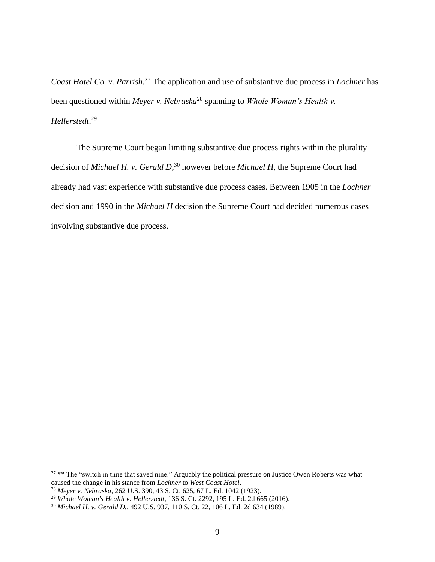*Coast Hotel Co. v. Parrish*. <sup>27</sup> The application and use of substantive due process in *Lochner* has been questioned within *Meyer v. Nebraska*<sup>28</sup> spanning to *Whole Woman's Health v. Hellerstedt*. 29

The Supreme Court began limiting substantive due process rights within the plurality decision of *Michael H. v. Gerald D*, <sup>30</sup> however before *Michael H*, the Supreme Court had already had vast experience with substantive due process cases. Between 1905 in the *Lochner* decision and 1990 in the *Michael H* decision the Supreme Court had decided numerous cases involving substantive due process.

<sup>&</sup>lt;sup>27</sup> \*\* The "switch in time that saved nine." Arguably the political pressure on Justice Owen Roberts was what caused the change in his stance from *Lochner* to *West Coast Hotel*.

<sup>28</sup> *Meyer v. Nebraska*, 262 U.S. 390, 43 S. Ct. 625, 67 L. Ed. 1042 (1923).

<sup>29</sup> *Whole Woman's Health v. Hellerstedt*, 136 S. Ct. 2292, 195 L. Ed. 2d 665 (2016).

<sup>30</sup> *Michael H. v. Gerald D.*, 492 U.S. 937, 110 S. Ct. 22, 106 L. Ed. 2d 634 (1989).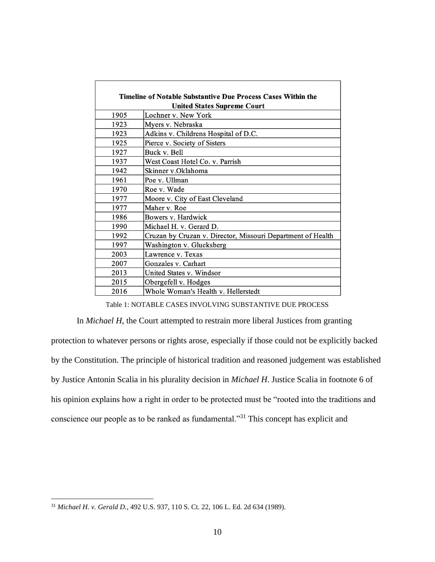| Timeline of Notable Substantive Due Process Cases Within the |                                                             |  |  |  |  |  |
|--------------------------------------------------------------|-------------------------------------------------------------|--|--|--|--|--|
| <b>United States Supreme Court</b>                           |                                                             |  |  |  |  |  |
| 1905                                                         | Lochner v. New York                                         |  |  |  |  |  |
| 1923                                                         | Myers v. Nebraska                                           |  |  |  |  |  |
| 1923                                                         | Adkins v. Childrens Hospital of D.C.                        |  |  |  |  |  |
| 1925                                                         | Pierce v. Society of Sisters                                |  |  |  |  |  |
| 1927                                                         | Buck v. Bell                                                |  |  |  |  |  |
| 1937                                                         | West Coast Hotel Co. v. Parrish                             |  |  |  |  |  |
| 1942                                                         | Skinner v.Oklahoma                                          |  |  |  |  |  |
| 1961                                                         | Poe v. Ullman                                               |  |  |  |  |  |
| 1970                                                         | Roe v. Wade                                                 |  |  |  |  |  |
| 1977                                                         | Moore v. City of East Cleveland                             |  |  |  |  |  |
| 1977                                                         | Maher v. Roe                                                |  |  |  |  |  |
| 1986                                                         | Bowers v. Hardwick                                          |  |  |  |  |  |
| 1990                                                         | Michael H. v. Gerard D.                                     |  |  |  |  |  |
| 1992                                                         | Cruzan by Cruzan v. Director, Missouri Department of Health |  |  |  |  |  |
| 1997                                                         | Washington v. Glucksberg                                    |  |  |  |  |  |
| 2003                                                         | Lawrence v. Texas                                           |  |  |  |  |  |
| 2007                                                         | Gonzales v. Carhart                                         |  |  |  |  |  |
| 2013                                                         | United States v. Windsor                                    |  |  |  |  |  |
| 2015                                                         | Obergefell v. Hodges                                        |  |  |  |  |  |
| 2016                                                         | Whole Woman's Health v. Hellerstedt                         |  |  |  |  |  |

#### Table 1: NOTABLE CASES INVOLVING SUBSTANTIVE DUE PROCESS

In *Michael H*, the Court attempted to restrain more liberal Justices from granting

<span id="page-17-0"></span>protection to whatever persons or rights arose, especially if those could not be explicitly backed by the Constitution. The principle of historical tradition and reasoned judgement was established by Justice Antonin Scalia in his plurality decision in *Michael H*. Justice Scalia in footnote 6 of his opinion explains how a right in order to be protected must be "rooted into the traditions and conscience our people as to be ranked as fundamental."<sup>31</sup> This concept has explicit and

<sup>31</sup> *Michael H. v. Gerald D.*, 492 U.S. 937, 110 S. Ct. 22, 106 L. Ed. 2d 634 (1989).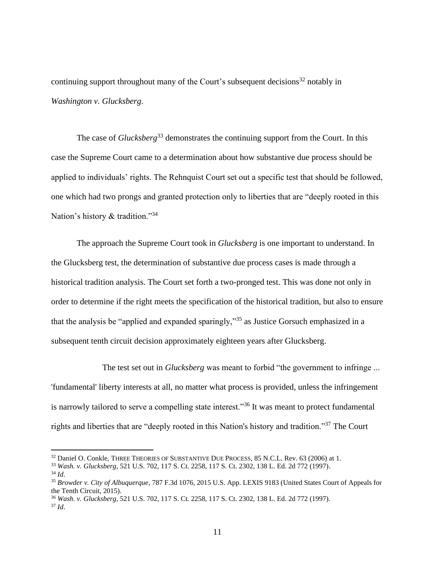continuing support throughout many of the Court's subsequent decisions<sup>32</sup> notably in *Washington v. Glucksberg*.

The case of *Glucksberg*<sup>33</sup> demonstrates the continuing support from the Court. In this case the Supreme Court came to a determination about how substantive due process should be applied to individuals' rights. The Rehnquist Court set out a specific test that should be followed, one which had two prongs and granted protection only to liberties that are "deeply rooted in this Nation's history & tradition."<sup>34</sup>

The approach the Supreme Court took in *Glucksberg* is one important to understand. In the Glucksberg test, the determination of substantive due process cases is made through a historical tradition analysis. The Court set forth a two-pronged test. This was done not only in order to determine if the right meets the specification of the historical tradition, but also to ensure that the analysis be "applied and expanded sparingly,"<sup>35</sup> as Justice Gorsuch emphasized in a subsequent tenth circuit decision approximately eighteen years after Glucksberg.

The test set out in *Glucksberg* was meant to forbid "the government to infringe ... 'fundamental' liberty interests at all, no matter what process is provided, unless the infringement is narrowly tailored to serve a compelling state interest."<sup>36</sup> It was meant to protect fundamental rights and liberties that are "deeply rooted in this Nation's history and tradition."<sup>37</sup> The Court

<sup>&</sup>lt;sup>32</sup> Daniel O. Conkle, THREE THEORIES OF SUBSTANTIVE DUE PROCESS, 85 N.C.L. Rev. 63 (2006) at 1.

<sup>33</sup> *Wash. v. Glucksberg*, 521 U.S. 702, 117 S. Ct. 2258, 117 S. Ct. 2302, 138 L. Ed. 2d 772 (1997). <sup>34</sup> *Id*.

<sup>35</sup> *Browder v. City of Albuquerque*, 787 F.3d 1076, 2015 U.S. App. LEXIS 9183 (United States Court of Appeals for the Tenth Circuit, 2015).

<sup>36</sup> *Wash. v. Glucksberg*, 521 U.S. 702, 117 S. Ct. 2258, 117 S. Ct. 2302, 138 L. Ed. 2d 772 (1997). <sup>37</sup> *Id*.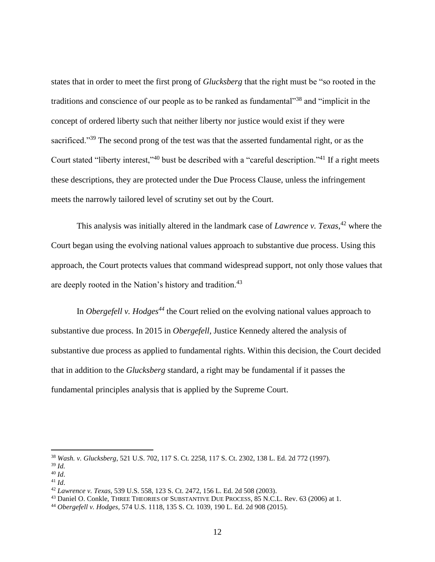states that in order to meet the first prong of *Glucksberg* that the right must be "so rooted in the traditions and conscience of our people as to be ranked as fundamental"<sup>38</sup> and "implicit in the concept of ordered liberty such that neither liberty nor justice would exist if they were sacrificed."<sup>39</sup> The second prong of the test was that the asserted fundamental right, or as the Court stated "liberty interest,"<sup>40</sup> bust be described with a "careful description."<sup>41</sup> If a right meets these descriptions, they are protected under the Due Process Clause, unless the infringement meets the narrowly tailored level of scrutiny set out by the Court.

This analysis was initially altered in the landmark case of *Lawrence v. Texas*, <sup>42</sup> where the Court began using the evolving national values approach to substantive due process. Using this approach, the Court protects values that command widespread support, not only those values that are deeply rooted in the Nation's history and tradition.<sup>43</sup>

In *Obergefell v. Hodges<sup>44</sup>* the Court relied on the evolving national values approach to substantive due process. In 2015 in *Obergefell*, Justice Kennedy altered the analysis of substantive due process as applied to fundamental rights. Within this decision, the Court decided that in addition to the *Glucksberg* standard, a right may be fundamental if it passes the fundamental principles analysis that is applied by the Supreme Court.

<sup>38</sup> *Wash. v. Glucksberg*, 521 U.S. 702, 117 S. Ct. 2258, 117 S. Ct. 2302, 138 L. Ed. 2d 772 (1997).

<sup>39</sup> *Id.*

<sup>40</sup> *Id*.

<sup>41</sup> *Id*.

<sup>42</sup> *Lawrence v. Texas,* 539 U.S. 558, 123 S. Ct. 2472, 156 L. Ed. 2d 508 (2003).

<sup>&</sup>lt;sup>43</sup> Daniel O. Conkle, THREE THEORIES OF SUBSTANTIVE DUE PROCESS, 85 N.C.L. Rev. 63 (2006) at 1.

<sup>44</sup> *Obergefell v. Hodges*, 574 U.S. 1118, 135 S. Ct. 1039, 190 L. Ed. 2d 908 (2015).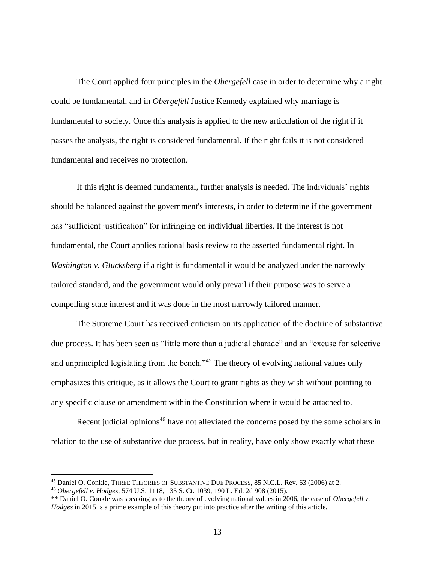The Court applied four principles in the *Obergefell* case in order to determine why a right could be fundamental, and in *Obergefell* Justice Kennedy explained why marriage is fundamental to society. Once this analysis is applied to the new articulation of the right if it passes the analysis, the right is considered fundamental. If the right fails it is not considered fundamental and receives no protection.

If this right is deemed fundamental, further analysis is needed. The individuals' rights should be balanced against the government's interests, in order to determine if the government has "sufficient justification" for infringing on individual liberties. If the interest is not fundamental, the Court applies rational basis review to the asserted fundamental right. In *Washington v. Glucksberg* if a right is fundamental it would be analyzed under the narrowly tailored standard, and the government would only prevail if their purpose was to serve a compelling state interest and it was done in the most narrowly tailored manner.

The Supreme Court has received criticism on its application of the doctrine of substantive due process. It has been seen as "little more than a judicial charade" and an "excuse for selective and unprincipled legislating from the bench."<sup>45</sup> The theory of evolving national values only emphasizes this critique, as it allows the Court to grant rights as they wish without pointing to any specific clause or amendment within the Constitution where it would be attached to.

Recent judicial opinions<sup>46</sup> have not alleviated the concerns posed by the some scholars in relation to the use of substantive due process, but in reality, have only show exactly what these

<sup>45</sup> Daniel O. Conkle, THREE THEORIES OF SUBSTANTIVE DUE PROCESS, 85 N.C.L. Rev. 63 (2006) at 2.

<sup>46</sup> *Obergefell v. Hodges*, 574 U.S. 1118, 135 S. Ct. 1039, 190 L. Ed. 2d 908 (2015).

<sup>\*\*</sup> Daniel O. Conkle was speaking as to the theory of evolving national values in 2006, the case of *Obergefell v. Hodges* in 2015 is a prime example of this theory put into practice after the writing of this article.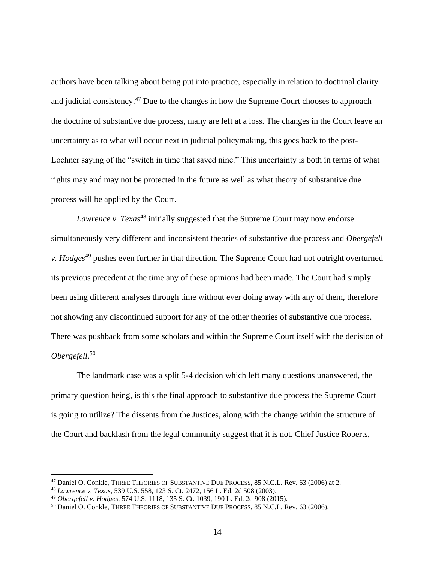authors have been talking about being put into practice, especially in relation to doctrinal clarity and judicial consistency. $47$  Due to the changes in how the Supreme Court chooses to approach the doctrine of substantive due process, many are left at a loss. The changes in the Court leave an uncertainty as to what will occur next in judicial policymaking, this goes back to the post-Lochner saying of the "switch in time that saved nine." This uncertainty is both in terms of what rights may and may not be protected in the future as well as what theory of substantive due process will be applied by the Court.

*Lawrence v. Texas*<sup>48</sup> initially suggested that the Supreme Court may now endorse simultaneously very different and inconsistent theories of substantive due process and *Obergefell v. Hodges*<sup>49</sup> pushes even further in that direction. The Supreme Court had not outright overturned its previous precedent at the time any of these opinions had been made. The Court had simply been using different analyses through time without ever doing away with any of them, therefore not showing any discontinued support for any of the other theories of substantive due process. There was pushback from some scholars and within the Supreme Court itself with the decision of *Obergefell*. 50

The landmark case was a split 5-4 decision which left many questions unanswered, the primary question being, is this the final approach to substantive due process the Supreme Court is going to utilize? The dissents from the Justices, along with the change within the structure of the Court and backlash from the legal community suggest that it is not. Chief Justice Roberts,

<sup>&</sup>lt;sup>47</sup> Daniel O. Conkle, THREE THEORIES OF SUBSTANTIVE DUE PROCESS, 85 N.C.L. Rev. 63 (2006) at 2.

<sup>48</sup> *Lawrence v. Texas*, 539 U.S. 558, 123 S. Ct. 2472, 156 L. Ed. 2d 508 (2003).

<sup>49</sup> *Obergefell v. Hodges*, 574 U.S. 1118, 135 S. Ct. 1039, 190 L. Ed. 2d 908 (2015).

<sup>50</sup> Daniel O. Conkle, THREE THEORIES OF SUBSTANTIVE DUE PROCESS, 85 N.C.L. Rev. 63 (2006).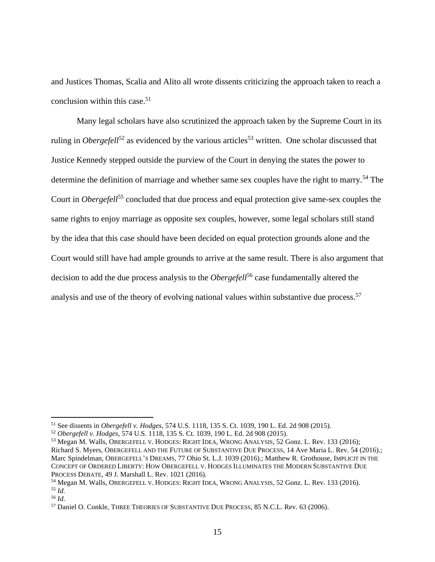and Justices Thomas, Scalia and Alito all wrote dissents criticizing the approach taken to reach a conclusion within this case.<sup>51</sup>

Many legal scholars have also scrutinized the approach taken by the Supreme Court in its ruling in *Obergefell*<sup>52</sup> as evidenced by the various articles<sup>53</sup> written. One scholar discussed that Justice Kennedy stepped outside the purview of the Court in denying the states the power to determine the definition of marriage and whether same sex couples have the right to marry.<sup>54</sup> The Court in *Obergefell*<sup>55</sup> concluded that due process and equal protection give same-sex couples the same rights to enjoy marriage as opposite sex couples, however, some legal scholars still stand by the idea that this case should have been decided on equal protection grounds alone and the Court would still have had ample grounds to arrive at the same result. There is also argument that decision to add the due process analysis to the *Obergefell*<sup>56</sup> case fundamentally altered the analysis and use of the theory of evolving national values within substantive due process.<sup>57</sup>

<sup>51</sup> See dissents in *Obergefell v. Hodges*, 574 U.S. 1118, 135 S. Ct. 1039, 190 L. Ed. 2d 908 (2015).

<sup>52</sup> *Obergefell v. Hodges*, 574 U.S. 1118, 135 S. Ct. 1039, 190 L. Ed. 2d 908 (2015).

<sup>53</sup> Megan M. Walls, OBERGEFELL V. HODGES: RIGHT IDEA, WRONG ANALYSIS, 52 Gonz. L. Rev. 133 (2016); Richard S. Myers, OBERGEFELL AND THE FUTURE OF SUBSTANTIVE DUE PROCESS, 14 Ave Maria L. Rev. 54 (2016).; Marc Spindelman, OBERGEFELL'S DREAMS, 77 Ohio St. L.J. 1039 (2016).; Matthew R. Grothouse, IMPLICIT IN THE CONCEPT OF ORDERED LIBERTY: HOW OBERGEFELL V. HODGES ILLUMINATES THE MODERN SUBSTANTIVE DUE PROCESS DEBATE, 49 J. Marshall L. Rev. 1021 (2016).

<sup>54</sup> Megan M. Walls, OBERGEFELL V. HODGES: RIGHT IDEA, WRONG ANALYSIS, 52 Gonz. L. Rev. 133 (2016). <sup>55</sup> *Id.*

<sup>56</sup> *Id.*

<sup>57</sup> Daniel O. Conkle, THREE THEORIES OF SUBSTANTIVE DUE PROCESS, 85 N.C.L. Rev. 63 (2006).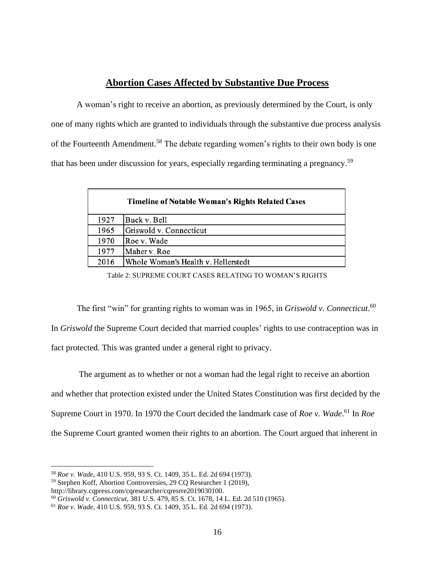# **Abortion Cases Affected by Substantive Due Process**

<span id="page-23-0"></span>A woman's right to receive an abortion, as previously determined by the Court, is only one of many rights which are granted to individuals through the substantive due process analysis of the Fourteenth Amendment.<sup>58</sup> The debate regarding women's rights to their own body is one that has been under discussion for years, especially regarding terminating a pregnancy.<sup>59</sup>

|      | <b>Timeline of Notable Woman's Rights Related Cases</b> |
|------|---------------------------------------------------------|
| 1927 | Buck v. Bell                                            |
| 1965 | Griswold v. Connecticut                                 |
| 1970 | Roe v. Wade                                             |
| 1977 | Maher v. Roe                                            |
| 2016 | Whole Woman's Health v. Hellerstedt                     |

Table 2: SUPREME COURT CASES RELATING TO WOMAN'S RIGHTS

<span id="page-23-1"></span>The first "win" for granting rights to woman was in 1965, in *Griswold v. Connecticut*. 60 In *Griswold* the Supreme Court decided that married couples' rights to use contraception was in fact protected. This was granted under a general right to privacy.

The argument as to whether or not a woman had the legal right to receive an abortion and whether that protection existed under the United States Constitution was first decided by the Supreme Court in 1970. In 1970 the Court decided the landmark case of *Roe v. Wade*. <sup>61</sup> In *Roe* the Supreme Court granted women their rights to an abortion. The Court argued that inherent in

<sup>58</sup> *Roe v. Wade*, 410 U.S. 959, 93 S. Ct. 1409, 35 L. Ed. 2d 694 (1973).

<sup>59</sup> Stephen Koff, Abortion Controversies, 29 CQ Researcher 1 (2019),

http://library.cqpress.com/cqresearcher/cqresrre2019030100.

<sup>60</sup> *Griswold v. Connecticut*, 381 U.S. 479, 85 S. Ct. 1678, 14 L. Ed. 2d 510 (1965).

<sup>61</sup> *Roe v. Wade*, 410 U.S. 959, 93 S. Ct. 1409, 35 L. Ed. 2d 694 (1973).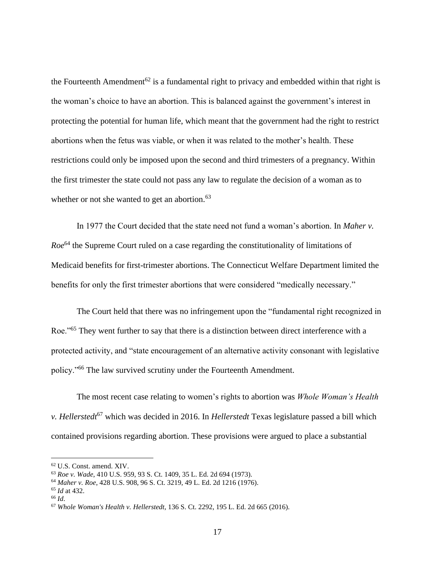the Fourteenth Amendment<sup>62</sup> is a fundamental right to privacy and embedded within that right is the woman's choice to have an abortion. This is balanced against the government's interest in protecting the potential for human life, which meant that the government had the right to restrict abortions when the fetus was viable, or when it was related to the mother's health. These restrictions could only be imposed upon the second and third trimesters of a pregnancy. Within the first trimester the state could not pass any law to regulate the decision of a woman as to whether or not she wanted to get an abortion.<sup>63</sup>

In 1977 the Court decided that the state need not fund a woman's abortion. In *Maher v. Roe*<sup>64</sup> the Supreme Court ruled on a case regarding the constitutionality of limitations of Medicaid benefits for first-trimester abortions. The Connecticut Welfare Department limited the benefits for only the first trimester abortions that were considered "medically necessary."

The Court held that there was no infringement upon the "fundamental right recognized in Roe."<sup>65</sup> They went further to say that there is a distinction between direct interference with a protected activity, and "state encouragement of an alternative activity consonant with legislative policy."<sup>66</sup> The law survived scrutiny under the Fourteenth Amendment.

The most recent case relating to women's rights to abortion was *Whole Woman's Health v. Hellerstedt*<sup>67</sup> which was decided in 2016. In *Hellerstedt* Texas legislature passed a bill which contained provisions regarding abortion. These provisions were argued to place a substantial

<sup>62</sup> U.S. Const. amend. XIV.

<sup>63</sup> *Roe v. Wade*, 410 U.S. 959, 93 S. Ct. 1409, 35 L. Ed. 2d 694 (1973).

<sup>64</sup> *Maher v. Roe*, 428 U.S. 908, 96 S. Ct. 3219, 49 L. Ed. 2d 1216 (1976).

<sup>65</sup> *Id* at 432.

<sup>66</sup> *Id*.

<sup>67</sup> *Whole Woman's Health v. Hellerstedt*, 136 S. Ct. 2292, 195 L. Ed. 2d 665 (2016).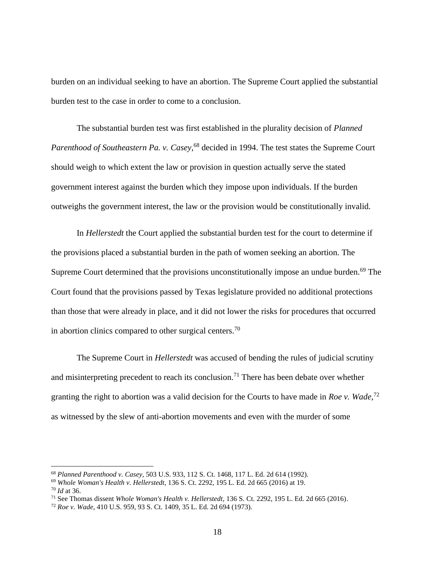burden on an individual seeking to have an abortion. The Supreme Court applied the substantial burden test to the case in order to come to a conclusion.

The substantial burden test was first established in the plurality decision of *Planned Parenthood of Southeastern Pa. v. Casey*, <sup>68</sup> decided in 1994. The test states the Supreme Court should weigh to which extent the law or provision in question actually serve the stated government interest against the burden which they impose upon individuals. If the burden outweighs the government interest, the law or the provision would be constitutionally invalid.

In *Hellerstedt* the Court applied the substantial burden test for the court to determine if the provisions placed a substantial burden in the path of women seeking an abortion. The Supreme Court determined that the provisions unconstitutionally impose an undue burden.<sup>69</sup> The Court found that the provisions passed by Texas legislature provided no additional protections than those that were already in place, and it did not lower the risks for procedures that occurred in abortion clinics compared to other surgical centers.<sup>70</sup>

The Supreme Court in *Hellerstedt* was accused of bending the rules of judicial scrutiny and misinterpreting precedent to reach its conclusion.<sup>71</sup> There has been debate over whether granting the right to abortion was a valid decision for the Courts to have made in *Roe v. Wade*, 72 as witnessed by the slew of anti-abortion movements and even with the murder of some

<sup>68</sup> *Planned Parenthood v. Casey*, 503 U.S. 933, 112 S. Ct. 1468, 117 L. Ed. 2d 614 (1992).

<sup>69</sup> *Whole Woman's Health v. Hellerstedt*, 136 S. Ct. 2292, 195 L. Ed. 2d 665 (2016) at 19. <sup>70</sup> *Id* at 36.

<sup>71</sup> See Thomas dissent *Whole Woman's Health v. Hellerstedt*, 136 S. Ct. 2292, 195 L. Ed. 2d 665 (2016).

<sup>72</sup> *Roe v. Wade*, 410 U.S. 959, 93 S. Ct. 1409, 35 L. Ed. 2d 694 (1973).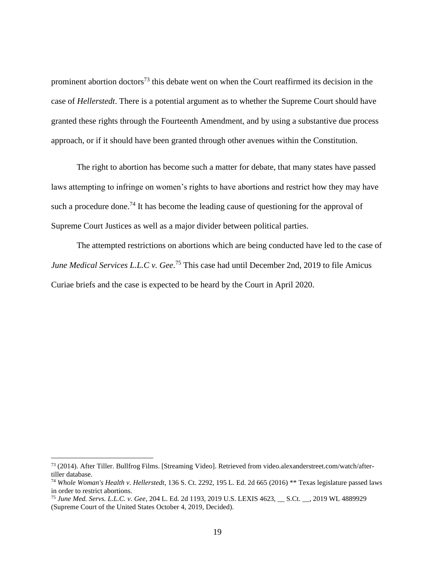prominent abortion doctors<sup>73</sup> this debate went on when the Court reaffirmed its decision in the case of *Hellerstedt*. There is a potential argument as to whether the Supreme Court should have granted these rights through the Fourteenth Amendment, and by using a substantive due process approach, or if it should have been granted through other avenues within the Constitution.

The right to abortion has become such a matter for debate, that many states have passed laws attempting to infringe on women's rights to have abortions and restrict how they may have such a procedure done.<sup>74</sup> It has become the leading cause of questioning for the approval of Supreme Court Justices as well as a major divider between political parties.

The attempted restrictions on abortions which are being conducted have led to the case of *June Medical Services L.L.C v. Gee*. <sup>75</sup> This case had until December 2nd, 2019 to file Amicus Curiae briefs and the case is expected to be heard by the Court in April 2020.

<sup>73</sup> (2014). After Tiller. Bullfrog Films. [Streaming Video]. Retrieved from video.alexanderstreet.com/watch/aftertiller database.

<sup>74</sup> *Whole Woman's Health v. Hellerstedt*, 136 S. Ct. 2292, 195 L. Ed. 2d 665 (2016) \*\* Texas legislature passed laws in order to restrict abortions.

<sup>75</sup> *June Med. Servs. L.L.C. v. Gee*, 204 L. Ed. 2d 1193, 2019 U.S. LEXIS 4623, \_\_ S.Ct. \_\_, 2019 WL 4889929 (Supreme Court of the United States October 4, 2019, Decided).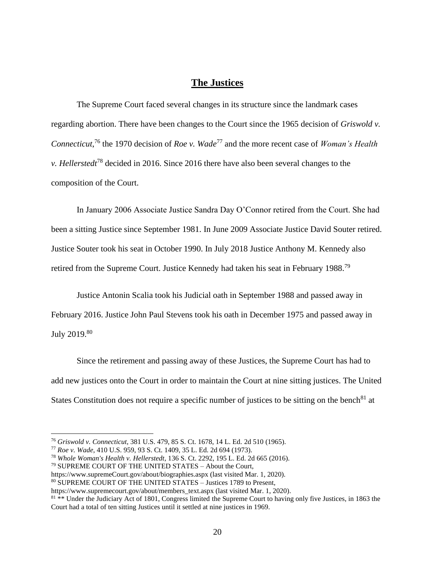# **The Justices**

<span id="page-27-0"></span>The Supreme Court faced several changes in its structure since the landmark cases regarding abortion. There have been changes to the Court since the 1965 decision of *Griswold v. Connecticut*, <sup>76</sup> the 1970 decision of *Roe v. Wade*<sup>77</sup> and the more recent case of *Woman's Health v. Hellerstedt*<sup>78</sup> decided in 2016. Since 2016 there have also been several changes to the composition of the Court.

In January 2006 Associate Justice Sandra Day O'Connor retired from the Court. She had been a sitting Justice since September 1981. In June 2009 Associate Justice David Souter retired. Justice Souter took his seat in October 1990. In July 2018 Justice Anthony M. Kennedy also retired from the Supreme Court. Justice Kennedy had taken his seat in February 1988.<sup>79</sup>

Justice Antonin Scalia took his Judicial oath in September 1988 and passed away in February 2016. Justice John Paul Stevens took his oath in December 1975 and passed away in July 2019.<sup>80</sup>

Since the retirement and passing away of these Justices, the Supreme Court has had to add new justices onto the Court in order to maintain the Court at nine sitting justices. The United States Constitution does not require a specific number of justices to be sitting on the bench<sup>81</sup> at

<sup>76</sup> *Griswold v. Connecticut*, 381 U.S. 479, 85 S. Ct. 1678, 14 L. Ed. 2d 510 (1965).

<sup>77</sup> *Roe v. Wade*, 410 U.S. 959, 93 S. Ct. 1409, 35 L. Ed. 2d 694 (1973).

<sup>78</sup> *Whole Woman's Health v. Hellerstedt*, 136 S. Ct. 2292, 195 L. Ed. 2d 665 (2016).

<sup>79</sup> SUPREME COURT OF THE UNITED STATES – About the Court,

https://www.supremeCourt.gov/about/biographies.aspx (last visited Mar. 1, 2020).

<sup>80</sup> SUPREME COURT OF THE UNITED STATES – Justices 1789 to Present,

https://www.supremecourt.gov/about/members\_text.aspx (last visited Mar. 1, 2020).

<sup>&</sup>lt;sup>81</sup> \*\* Under the Judiciary Act of 1801, Congress limited the Supreme Court to having only five Justices, in 1863 the Court had a total of ten sitting Justices until it settled at nine justices in 1969.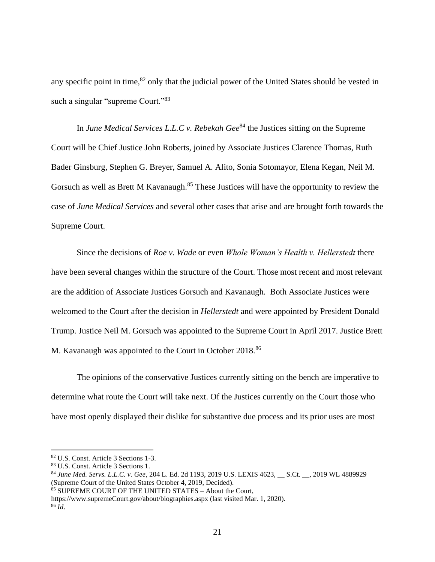any specific point in time, $82$  only that the judicial power of the United States should be vested in such a singular "supreme Court."<sup>83</sup>

In *June Medical Services L.L.C v. Rebekah Gee*<sup>84</sup> the Justices sitting on the Supreme Court will be Chief Justice John Roberts, joined by Associate Justices Clarence Thomas, Ruth Bader Ginsburg, Stephen G. Breyer, Samuel A. Alito, Sonia Sotomayor, Elena Kegan, Neil M. Gorsuch as well as Brett M Kavanaugh.<sup>85</sup> These Justices will have the opportunity to review the case of *June Medical Services* and several other cases that arise and are brought forth towards the Supreme Court.

Since the decisions of *Roe v. Wade* or even *Whole Woman's Health v. Hellerstedt* there have been several changes within the structure of the Court. Those most recent and most relevant are the addition of Associate Justices Gorsuch and Kavanaugh. Both Associate Justices were welcomed to the Court after the decision in *Hellerstedt* and were appointed by President Donald Trump. Justice Neil M. Gorsuch was appointed to the Supreme Court in April 2017. Justice Brett M. Kavanaugh was appointed to the Court in October 2018.<sup>86</sup>

The opinions of the conservative Justices currently sitting on the bench are imperative to determine what route the Court will take next. Of the Justices currently on the Court those who have most openly displayed their dislike for substantive due process and its prior uses are most

<sup>82</sup> U.S. Const. Article 3 Sections 1-3.

<sup>83</sup> U.S. Const. Article 3 Sections 1.

<sup>84</sup> *June Med. Servs. L.L.C. v. Gee*, 204 L. Ed. 2d 1193, 2019 U.S. LEXIS 4623, \_\_ S.Ct. \_\_, 2019 WL 4889929 (Supreme Court of the United States October 4, 2019, Decided).

<sup>85</sup> SUPREME COURT OF THE UNITED STATES - About the Court,

https://www.supremeCourt.gov/about/biographies.aspx (last visited Mar. 1, 2020). <sup>86</sup> *Id*.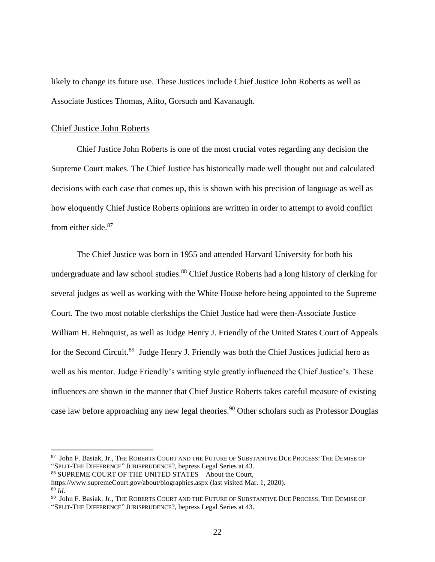likely to change its future use. These Justices include Chief Justice John Roberts as well as Associate Justices Thomas, Alito, Gorsuch and Kavanaugh.

## <span id="page-29-0"></span>Chief Justice John Roberts

Chief Justice John Roberts is one of the most crucial votes regarding any decision the Supreme Court makes. The Chief Justice has historically made well thought out and calculated decisions with each case that comes up, this is shown with his precision of language as well as how eloquently Chief Justice Roberts opinions are written in order to attempt to avoid conflict from either side.<sup>87</sup>

The Chief Justice was born in 1955 and attended Harvard University for both his undergraduate and law school studies.<sup>88</sup> Chief Justice Roberts had a long history of clerking for several judges as well as working with the White House before being appointed to the Supreme Court. The two most notable clerkships the Chief Justice had were then-Associate Justice William H. Rehnquist, as well as Judge Henry J. Friendly of the United States Court of Appeals for the Second Circuit.<sup>89</sup> Judge Henry J. Friendly was both the Chief Justices judicial hero as well as his mentor. Judge Friendly's writing style greatly influenced the Chief Justice's. These influences are shown in the manner that Chief Justice Roberts takes careful measure of existing case law before approaching any new legal theories.<sup>90</sup> Other scholars such as Professor Douglas

<sup>&</sup>lt;sup>87</sup> John F. Basiak, Jr., The ROBERTS COURT AND THE FUTURE OF SUBSTANTIVE DUE PROCESS: THE DEMISE OF "SPLIT-THE DIFFERENCE" JURISPRUDENCE?, bepress Legal Series at 43.

<sup>88</sup> SUPREME COURT OF THE UNITED STATES – About the Court,

https://www.supremeCourt.gov/about/biographies.aspx (last visited Mar. 1, 2020). <sup>89</sup> *Id*.

 $^{90}\,$  John F. Basiak, Jr., The ROBERTS COURT AND THE FUTURE OF SUBSTANTIVE DUE PROCESS: THE DEMISE OF "SPLIT-THE DIFFERENCE" JURISPRUDENCE?, bepress Legal Series at 43.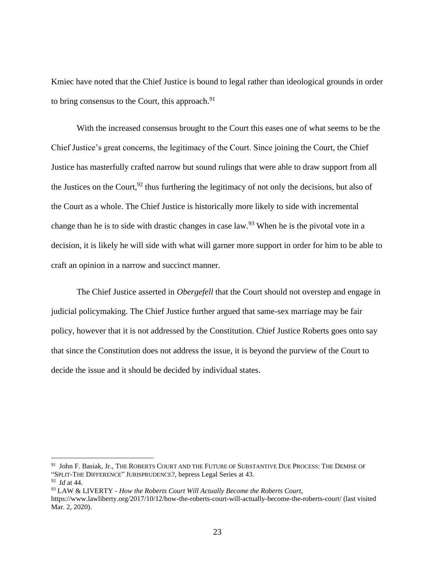Kmiec have noted that the Chief Justice is bound to legal rather than ideological grounds in order to bring consensus to the Court, this approach.<sup>91</sup>

With the increased consensus brought to the Court this eases one of what seems to be the Chief Justice's great concerns, the legitimacy of the Court. Since joining the Court, the Chief Justice has masterfully crafted narrow but sound rulings that were able to draw support from all the Justices on the Court,  $92$  thus furthering the legitimacy of not only the decisions, but also of the Court as a whole. The Chief Justice is historically more likely to side with incremental change than he is to side with drastic changes in case law.<sup>93</sup> When he is the pivotal vote in a decision, it is likely he will side with what will garner more support in order for him to be able to craft an opinion in a narrow and succinct manner.

The Chief Justice asserted in *Obergefell* that the Court should not overstep and engage in judicial policymaking. The Chief Justice further argued that same-sex marriage may be fair policy, however that it is not addressed by the Constitution. Chief Justice Roberts goes onto say that since the Constitution does not address the issue, it is beyond the purview of the Court to decide the issue and it should be decided by individual states.

<sup>&</sup>lt;sup>91</sup> John F. Basiak, Jr., The ROBERTS COURT AND THE FUTURE OF SUBSTANTIVE DUE PROCESS: THE DEMISE OF "SPLIT-THE DIFFERENCE" JURISPRUDENCE?, bepress Legal Series at 43. 92 *Id* at 44.

<sup>93</sup> LAW & LIVERTY - *How the Roberts Court Will Actually Become the Roberts Court*, https://www.lawliberty.org/2017/10/12/how-the-roberts-court-will-actually-become-the-roberts-court/ (last visited Mar. 2, 2020).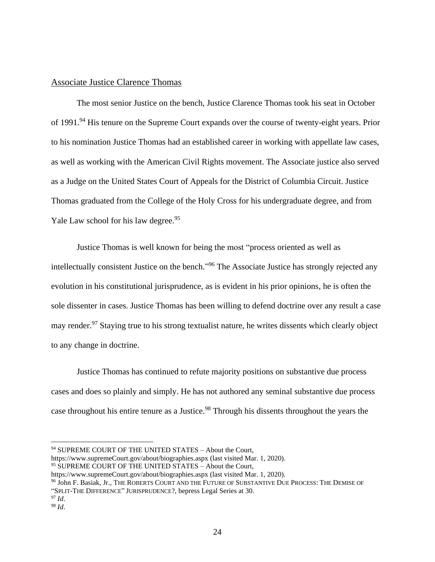## <span id="page-31-0"></span>Associate Justice Clarence Thomas

The most senior Justice on the bench, Justice Clarence Thomas took his seat in October of 1991.<sup>94</sup> His tenure on the Supreme Court expands over the course of twenty-eight years. Prior to his nomination Justice Thomas had an established career in working with appellate law cases, as well as working with the American Civil Rights movement. The Associate justice also served as a Judge on the United States Court of Appeals for the District of Columbia Circuit. Justice Thomas graduated from the College of the Holy Cross for his undergraduate degree, and from Yale Law school for his law degree.<sup>95</sup>

Justice Thomas is well known for being the most "process oriented as well as intellectually consistent Justice on the bench." <sup>96</sup> The Associate Justice has strongly rejected any evolution in his constitutional jurisprudence, as is evident in his prior opinions, he is often the sole dissenter in cases. Justice Thomas has been willing to defend doctrine over any result a case may render.<sup>97</sup> Staying true to his strong textualist nature, he writes dissents which clearly object to any change in doctrine.

Justice Thomas has continued to refute majority positions on substantive due process cases and does so plainly and simply. He has not authored any seminal substantive due process case throughout his entire tenure as a Justice.<sup>98</sup> Through his dissents throughout the years the

https://www.supremeCourt.gov/about/biographies.aspx (last visited Mar. 1, 2020).

<sup>95</sup> SUPREME COURT OF THE UNITED STATES – About the Court,

https://www.supremeCourt.gov/about/biographies.aspx (last visited Mar. 1, 2020).

<sup>96</sup> John F. Basiak, Jr., THE ROBERTS COURT AND THE FUTURE OF SUBSTANTIVE DUE PROCESS: THE DEMISE OF "SPLIT-THE DIFFERENCE" JURISPRUDENCE?, bepress Legal Series at 30.

<sup>94</sup> SUPREME COURT OF THE UNITED STATES – About the Court,

<sup>97</sup> *Id*. <sup>98</sup> *Id*.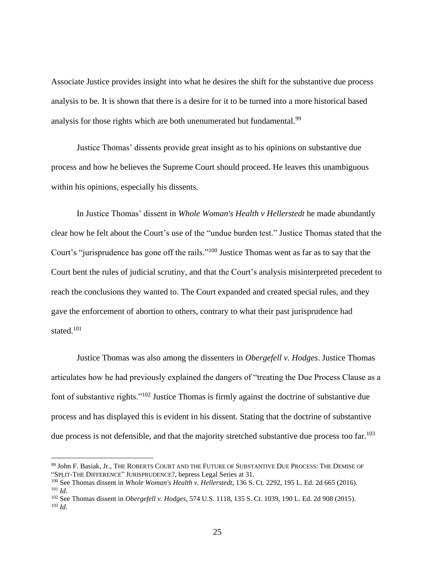Associate Justice provides insight into what he desires the shift for the substantive due process analysis to be. It is shown that there is a desire for it to be turned into a more historical based analysis for those rights which are both unenumerated but fundamental.<sup>99</sup>

Justice Thomas' dissents provide great insight as to his opinions on substantive due process and how he believes the Supreme Court should proceed. He leaves this unambiguous within his opinions, especially his dissents.

In Justice Thomas' dissent in *Whole Woman's Health v Hellerstedt* he made abundantly clear how he felt about the Court's use of the "undue burden test." Justice Thomas stated that the Court's "jurisprudence has gone off the rails."<sup>100</sup> Justice Thomas went as far as to say that the Court bent the rules of judicial scrutiny, and that the Court's analysis misinterpreted precedent to reach the conclusions they wanted to. The Court expanded and created special rules, and they gave the enforcement of abortion to others, contrary to what their past jurisprudence had stated.<sup>101</sup>

Justice Thomas was also among the dissenters in *Obergefell v. Hodges*. Justice Thomas articulates how he had previously explained the dangers of "treating the Due Process Clause as a font of substantive rights."<sup>102</sup> Justice Thomas is firmly against the doctrine of substantive due process and has displayed this is evident in his dissent. Stating that the doctrine of substantive due process is not defensible, and that the majority stretched substantive due process too far.<sup>103</sup>

<sup>99</sup> John F. Basiak, Jr., THE ROBERTS COURT AND THE FUTURE OF SUBSTANTIVE DUE PROCESS: THE DEMISE OF "SPLIT-THE DIFFERENCE" JURISPRUDENCE?, bepress Legal Series at 31.

<sup>100</sup> See Thomas dissent in *Whole Woman's Health v. Hellerstedt*, 136 S. Ct. 2292, 195 L. Ed. 2d 665 (2016). <sup>101</sup> *Id*.

<sup>102</sup> See Thomas dissent in *Obergefell v. Hodges*, 574 U.S. 1118, 135 S. Ct. 1039, 190 L. Ed. 2d 908 (2015). <sup>103</sup> *Id*.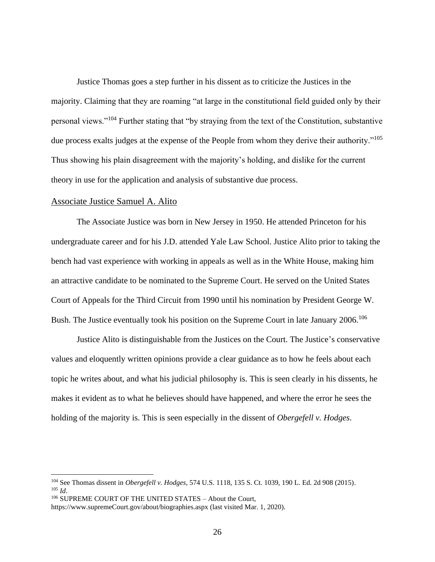Justice Thomas goes a step further in his dissent as to criticize the Justices in the majority. Claiming that they are roaming "at large in the constitutional field guided only by their personal views."<sup>104</sup> Further stating that "by straying from the text of the Constitution, substantive due process exalts judges at the expense of the People from whom they derive their authority."<sup>105</sup> Thus showing his plain disagreement with the majority's holding, and dislike for the current theory in use for the application and analysis of substantive due process.

#### <span id="page-33-0"></span>Associate Justice Samuel A. Alito

The Associate Justice was born in New Jersey in 1950. He attended Princeton for his undergraduate career and for his J.D. attended Yale Law School. Justice Alito prior to taking the bench had vast experience with working in appeals as well as in the White House, making him an attractive candidate to be nominated to the Supreme Court. He served on the United States Court of Appeals for the Third Circuit from 1990 until his nomination by President George W. Bush. The Justice eventually took his position on the Supreme Court in late January 2006.<sup>106</sup>

Justice Alito is distinguishable from the Justices on the Court. The Justice's conservative values and eloquently written opinions provide a clear guidance as to how he feels about each topic he writes about, and what his judicial philosophy is. This is seen clearly in his dissents, he makes it evident as to what he believes should have happened, and where the error he sees the holding of the majority is. This is seen especially in the dissent of *Obergefell v. Hodges*.

<sup>104</sup> See Thomas dissent in *Obergefell v. Hodges*, 574 U.S. 1118, 135 S. Ct. 1039, 190 L. Ed. 2d 908 (2015). <sup>105</sup> *Id*.

<sup>106</sup> SUPREME COURT OF THE UNITED STATES – About the Court,

https://www.supremeCourt.gov/about/biographies.aspx (last visited Mar. 1, 2020).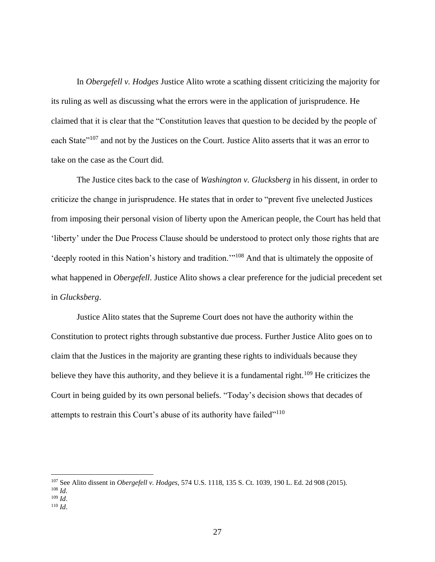In *Obergefell v. Hodges* Justice Alito wrote a scathing dissent criticizing the majority for its ruling as well as discussing what the errors were in the application of jurisprudence. He claimed that it is clear that the "Constitution leaves that question to be decided by the people of each State"<sup>107</sup> and not by the Justices on the Court. Justice Alito asserts that it was an error to take on the case as the Court did.

The Justice cites back to the case of *Washington v. Glucksberg* in his dissent, in order to criticize the change in jurisprudence. He states that in order to "prevent five unelected Justices from imposing their personal vision of liberty upon the American people, the Court has held that 'liberty' under the Due Process Clause should be understood to protect only those rights that are 'deeply rooted in this Nation's history and tradition.'"<sup>108</sup> And that is ultimately the opposite of what happened in *Obergefell*. Justice Alito shows a clear preference for the judicial precedent set in *Glucksberg*.

Justice Alito states that the Supreme Court does not have the authority within the Constitution to protect rights through substantive due process. Further Justice Alito goes on to claim that the Justices in the majority are granting these rights to individuals because they believe they have this authority, and they believe it is a fundamental right.<sup>109</sup> He criticizes the Court in being guided by its own personal beliefs. "Today's decision shows that decades of attempts to restrain this Court's abuse of its authority have failed"<sup>110</sup>

<sup>110</sup> *Id*.

<sup>107</sup> See Alito dissent in *Obergefell v. Hodges*, 574 U.S. 1118, 135 S. Ct. 1039, 190 L. Ed. 2d 908 (2015).

<sup>108</sup> *Id.*

<sup>109</sup> *Id*.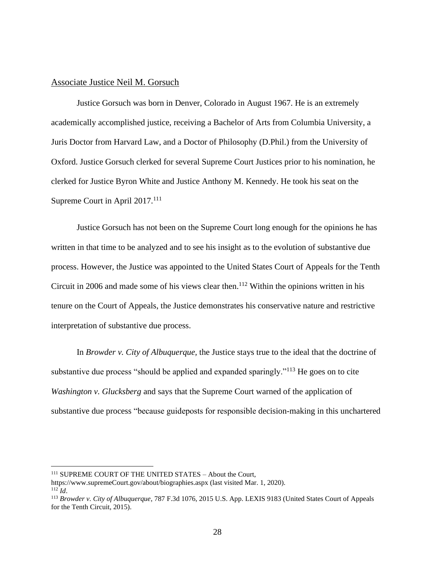## <span id="page-35-0"></span>Associate Justice Neil M. Gorsuch

Justice Gorsuch was born in Denver, Colorado in August 1967. He is an extremely academically accomplished justice, receiving a Bachelor of Arts from Columbia University, a Juris Doctor from Harvard Law, and a Doctor of Philosophy (D.Phil.) from the University of Oxford. Justice Gorsuch clerked for several Supreme Court Justices prior to his nomination, he clerked for Justice Byron White and Justice Anthony M. Kennedy. He took his seat on the Supreme Court in April  $2017$ <sup>111</sup>

Justice Gorsuch has not been on the Supreme Court long enough for the opinions he has written in that time to be analyzed and to see his insight as to the evolution of substantive due process. However, the Justice was appointed to the United States Court of Appeals for the Tenth Circuit in 2006 and made some of his views clear then.<sup>112</sup> Within the opinions written in his tenure on the Court of Appeals, the Justice demonstrates his conservative nature and restrictive interpretation of substantive due process.

In *Browder v. City of Albuquerque,* the Justice stays true to the ideal that the doctrine of substantive due process "should be applied and expanded sparingly."<sup>113</sup> He goes on to cite *Washington v. Glucksberg* and says that the Supreme Court warned of the application of substantive due process "because guideposts for responsible decision-making in this unchartered

<sup>111</sup> SUPREME COURT OF THE UNITED STATES – About the Court,

https://www.supremeCourt.gov/about/biographies.aspx (last visited Mar. 1, 2020).  $112^7$ *Id.* 

<sup>113</sup> *Browder v. City of Albuquerque*, 787 F.3d 1076, 2015 U.S. App. LEXIS 9183 (United States Court of Appeals for the Tenth Circuit, 2015).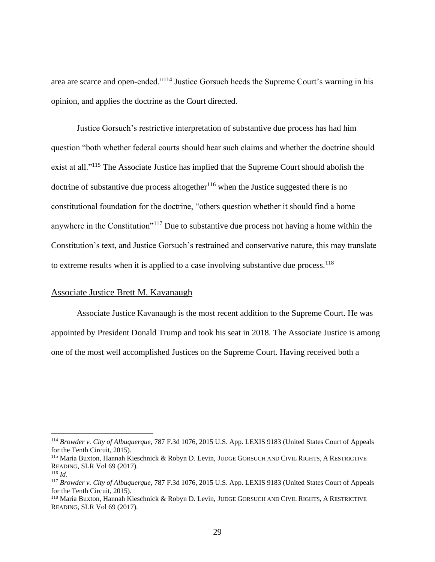area are scarce and open-ended."<sup>114</sup> Justice Gorsuch heeds the Supreme Court's warning in his opinion, and applies the doctrine as the Court directed.

Justice Gorsuch's restrictive interpretation of substantive due process has had him question "both whether federal courts should hear such claims and whether the doctrine should exist at all."<sup>115</sup> The Associate Justice has implied that the Supreme Court should abolish the doctrine of substantive due process altogether $116$  when the Justice suggested there is no constitutional foundation for the doctrine, "others question whether it should find a home anywhere in the Constitution"<sup>117</sup> Due to substantive due process not having a home within the Constitution's text, and Justice Gorsuch's restrained and conservative nature, this may translate to extreme results when it is applied to a case involving substantive due process.<sup>118</sup>

## <span id="page-36-0"></span>Associate Justice Brett M. Kavanaugh

Associate Justice Kavanaugh is the most recent addition to the Supreme Court. He was appointed by President Donald Trump and took his seat in 2018. The Associate Justice is among one of the most well accomplished Justices on the Supreme Court. Having received both a

<sup>114</sup> *Browder v. City of Albuquerque*, 787 F.3d 1076, 2015 U.S. App. LEXIS 9183 (United States Court of Appeals for the Tenth Circuit, 2015).

<sup>115</sup> Maria Buxton, Hannah Kieschnick & Robyn D. Levin, JUDGE GORSUCH AND CIVIL RIGHTS, A RESTRICTIVE READING, SLR Vol 69 (2017).

<sup>116</sup> *Id*.

<sup>117</sup> *Browder v. City of Albuquerque*, 787 F.3d 1076, 2015 U.S. App. LEXIS 9183 (United States Court of Appeals for the Tenth Circuit, 2015).

<sup>118</sup> Maria Buxton, Hannah Kieschnick & Robyn D. Levin, JUDGE GORSUCH AND CIVIL RIGHTS, A RESTRICTIVE READING, SLR Vol 69 (2017).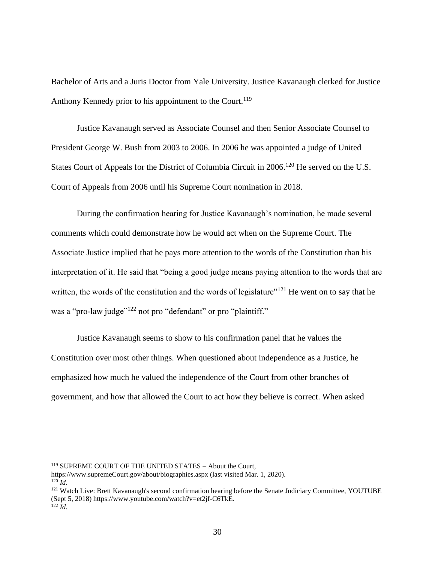Bachelor of Arts and a Juris Doctor from Yale University. Justice Kavanaugh clerked for Justice Anthony Kennedy prior to his appointment to the Court.<sup>119</sup>

Justice Kavanaugh served as Associate Counsel and then Senior Associate Counsel to President George W. Bush from 2003 to 2006. In 2006 he was appointed a judge of United States Court of Appeals for the District of Columbia Circuit in 2006.<sup>120</sup> He served on the U.S. Court of Appeals from 2006 until his Supreme Court nomination in 2018.

During the confirmation hearing for Justice Kavanaugh's nomination, he made several comments which could demonstrate how he would act when on the Supreme Court. The Associate Justice implied that he pays more attention to the words of the Constitution than his interpretation of it. He said that "being a good judge means paying attention to the words that are written, the words of the constitution and the words of legislature"<sup>121</sup> He went on to say that he was a "pro-law judge"<sup>122</sup> not pro "defendant" or pro "plaintiff."

Justice Kavanaugh seems to show to his confirmation panel that he values the Constitution over most other things. When questioned about independence as a Justice, he emphasized how much he valued the independence of the Court from other branches of government, and how that allowed the Court to act how they believe is correct. When asked

<sup>119</sup> SUPREME COURT OF THE UNITED STATES – About the Court,

https://www.supremeCourt.gov/about/biographies.aspx (last visited Mar. 1, 2020).  $120$  *Id*.

<sup>&</sup>lt;sup>121</sup> Watch Live: Brett Kavanaugh's second confirmation hearing before the Senate Judiciary Committee, YOUTUBE (Sept 5, 2018) https://www.youtube.com/watch?v=et2jf-C6TkE.  $\iota$ <sup>122</sup> *Id*.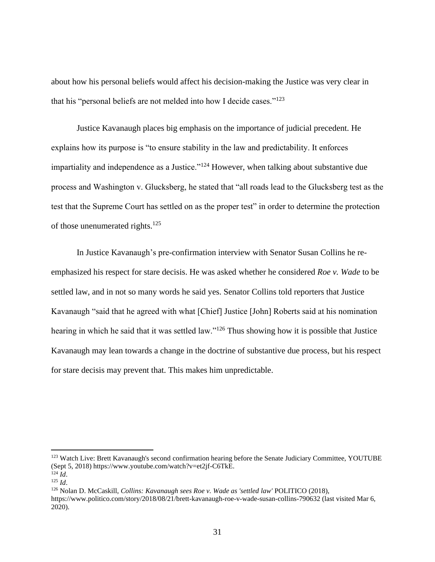about how his personal beliefs would affect his decision-making the Justice was very clear in that his "personal beliefs are not melded into how I decide cases."<sup>123</sup>

Justice Kavanaugh places big emphasis on the importance of judicial precedent. He explains how its purpose is "to ensure stability in the law and predictability. It enforces impartiality and independence as a Justice."<sup>124</sup> However, when talking about substantive due process and Washington v. Glucksberg, he stated that "all roads lead to the Glucksberg test as the test that the Supreme Court has settled on as the proper test" in order to determine the protection of those unenumerated rights.<sup>125</sup>

In Justice Kavanaugh's pre-confirmation interview with Senator Susan Collins he reemphasized his respect for stare decisis. He was asked whether he considered *Roe v. Wade* to be settled law, and in not so many words he said yes. Senator Collins told reporters that Justice Kavanaugh "said that he agreed with what [Chief] Justice [John] Roberts said at his nomination hearing in which he said that it was settled law."<sup>126</sup> Thus showing how it is possible that Justice Kavanaugh may lean towards a change in the doctrine of substantive due process, but his respect for stare decisis may prevent that. This makes him unpredictable.

<sup>&</sup>lt;sup>123</sup> Watch Live: Brett Kavanaugh's second confirmation hearing before the Senate Judiciary Committee, YOUTUBE (Sept 5, 2018) https://www.youtube.com/watch?v=et2jf-C6TkE.  $124 \overline{Id}$ .

<sup>125</sup> *Id*.

<sup>126</sup> Nolan D. McCaskill, *Collins: Kavanaugh sees Roe v. Wade as 'settled law'* POLITICO (2018),

https://www.politico.com/story/2018/08/21/brett-kavanaugh-roe-v-wade-susan-collins-790632 (last visited Mar 6, 2020).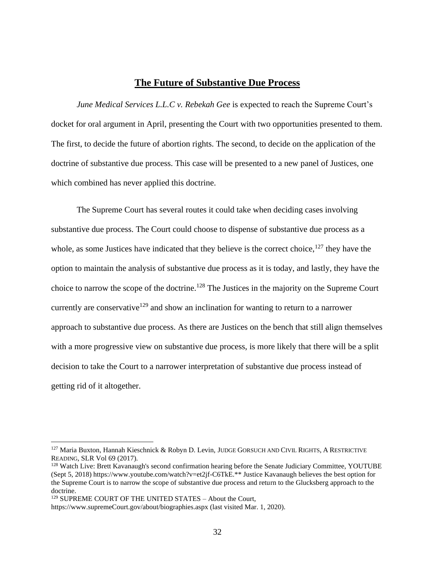#### **The Future of Substantive Due Process**

<span id="page-39-0"></span>*June Medical Services L.L.C v. Rebekah Gee* is expected to reach the Supreme Court's docket for oral argument in April, presenting the Court with two opportunities presented to them. The first, to decide the future of abortion rights. The second, to decide on the application of the doctrine of substantive due process. This case will be presented to a new panel of Justices, one which combined has never applied this doctrine.

The Supreme Court has several routes it could take when deciding cases involving substantive due process. The Court could choose to dispense of substantive due process as a whole, as some Justices have indicated that they believe is the correct choice,  $127$  they have the option to maintain the analysis of substantive due process as it is today, and lastly, they have the choice to narrow the scope of the doctrine.<sup>128</sup> The Justices in the majority on the Supreme Court currently are conservative<sup>129</sup> and show an inclination for wanting to return to a narrower approach to substantive due process. As there are Justices on the bench that still align themselves with a more progressive view on substantive due process, is more likely that there will be a split decision to take the Court to a narrower interpretation of substantive due process instead of getting rid of it altogether.

<sup>127</sup> Maria Buxton, Hannah Kieschnick & Robyn D. Levin, JUDGE GORSUCH AND CIVIL RIGHTS, A RESTRICTIVE READING, SLR Vol 69 (2017).

<sup>&</sup>lt;sup>128</sup> Watch Live: Brett Kavanaugh's second confirmation hearing before the Senate Judiciary Committee, YOUTUBE (Sept 5, 2018) https://www.youtube.com/watch?v=et2jf-C6TkE.\*\* Justice Kavanaugh believes the best option for the Supreme Court is to narrow the scope of substantive due process and return to the Glucksberg approach to the doctrine.

<sup>129</sup> SUPREME COURT OF THE UNITED STATES – About the Court,

https://www.supremeCourt.gov/about/biographies.aspx (last visited Mar. 1, 2020).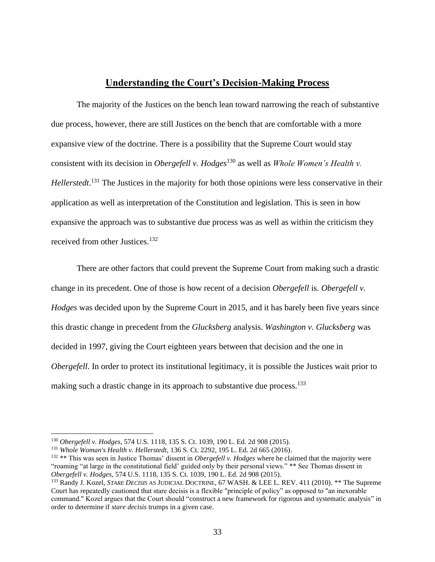#### **Understanding the Court's Decision-Making Process**

<span id="page-40-0"></span>The majority of the Justices on the bench lean toward narrowing the reach of substantive due process, however, there are still Justices on the bench that are comfortable with a more expansive view of the doctrine. There is a possibility that the Supreme Court would stay consistent with its decision in *Obergefell v. Hodges*<sup>130</sup> as well as *Whole Women's Health v. Hellerstedt*. <sup>131</sup> The Justices in the majority for both those opinions were less conservative in their application as well as interpretation of the Constitution and legislation. This is seen in how expansive the approach was to substantive due process was as well as within the criticism they received from other Justices.<sup>132</sup>

There are other factors that could prevent the Supreme Court from making such a drastic change in its precedent. One of those is how recent of a decision *Obergefell* is. *Obergefell v. Hodges* was decided upon by the Supreme Court in 2015, and it has barely been five years since this drastic change in precedent from the *Glucksberg* analysis. *Washington v. Glucksberg* was decided in 1997, giving the Court eighteen years between that decision and the one in *Obergefell*. In order to protect its institutional legitimacy, it is possible the Justices wait prior to making such a drastic change in its approach to substantive due process.<sup>133</sup>

<sup>130</sup> *Obergefell v. Hodges*, 574 U.S. 1118, 135 S. Ct. 1039, 190 L. Ed. 2d 908 (2015).

<sup>131</sup> *Whole Woman's Health v. Hellerstedt*, 136 S. Ct. 2292, 195 L. Ed. 2d 665 (2016).

<sup>132</sup> \*\* This was seen in Justice Thomas' dissent in *Obergefell v. Hodges* where he claimed that the majority were "roaming "at large in the constitutional field' guided only by their personal views." \*\* See Thomas dissent in *Obergefell v. Hodges*, 574 U.S. 1118, 135 S. Ct. 1039, 190 L. Ed. 2d 908 (2015).

<sup>&</sup>lt;sup>133</sup> Randy J. Kozel, *STARE DECISIS* AS JUDICIAL DOCTRINE, 67 WASH. & LEE L. REV. 411 (2010). \*\* The Supreme Court has repeatedly cautioned that stare decisis is a flexible "principle of policy" as opposed to "an inexorable command." Kozel argues that the Court should "construct a new framework for rigorous and systematic analysis" in order to determine if *stare decisis* trumps in a given case.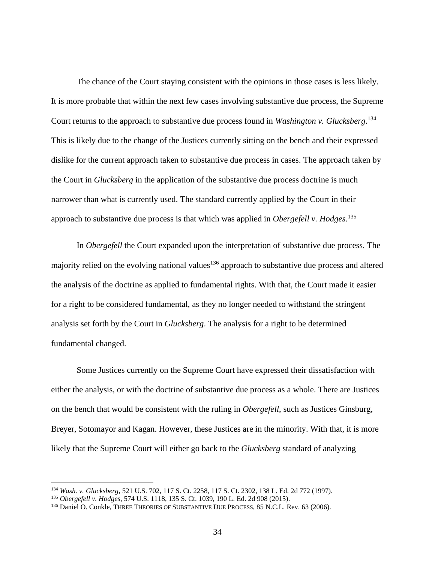The chance of the Court staying consistent with the opinions in those cases is less likely. It is more probable that within the next few cases involving substantive due process, the Supreme Court returns to the approach to substantive due process found in *Washington v. Glucksberg*. 134 This is likely due to the change of the Justices currently sitting on the bench and their expressed dislike for the current approach taken to substantive due process in cases. The approach taken by the Court in *Glucksberg* in the application of the substantive due process doctrine is much narrower than what is currently used. The standard currently applied by the Court in their approach to substantive due process is that which was applied in *Obergefell v. Hodges*. 135

In *Obergefell* the Court expanded upon the interpretation of substantive due process. The majority relied on the evolving national values<sup>136</sup> approach to substantive due process and altered the analysis of the doctrine as applied to fundamental rights. With that, the Court made it easier for a right to be considered fundamental, as they no longer needed to withstand the stringent analysis set forth by the Court in *Glucksberg*. The analysis for a right to be determined fundamental changed.

Some Justices currently on the Supreme Court have expressed their dissatisfaction with either the analysis, or with the doctrine of substantive due process as a whole. There are Justices on the bench that would be consistent with the ruling in *Obergefell*, such as Justices Ginsburg, Breyer, Sotomayor and Kagan. However, these Justices are in the minority. With that, it is more likely that the Supreme Court will either go back to the *Glucksberg* standard of analyzing

<sup>134</sup> *Wash. v. Glucksberg*, 521 U.S. 702, 117 S. Ct. 2258, 117 S. Ct. 2302, 138 L. Ed. 2d 772 (1997).

<sup>135</sup> *Obergefell v. Hodges*, 574 U.S. 1118, 135 S. Ct. 1039, 190 L. Ed. 2d 908 (2015).

<sup>136</sup> Daniel O. Conkle, THREE THEORIES OF SUBSTANTIVE DUE PROCESS, 85 N.C.L. Rev. 63 (2006).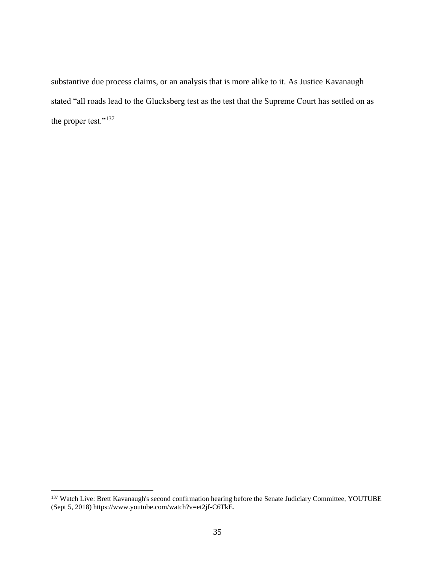substantive due process claims, or an analysis that is more alike to it. As Justice Kavanaugh stated "all roads lead to the Glucksberg test as the test that the Supreme Court has settled on as the proper test."<sup>137</sup>

<sup>&</sup>lt;sup>137</sup> Watch Live: Brett Kavanaugh's second confirmation hearing before the Senate Judiciary Committee, YOUTUBE (Sept 5, 2018) https://www.youtube.com/watch?v=et2jf-C6TkE.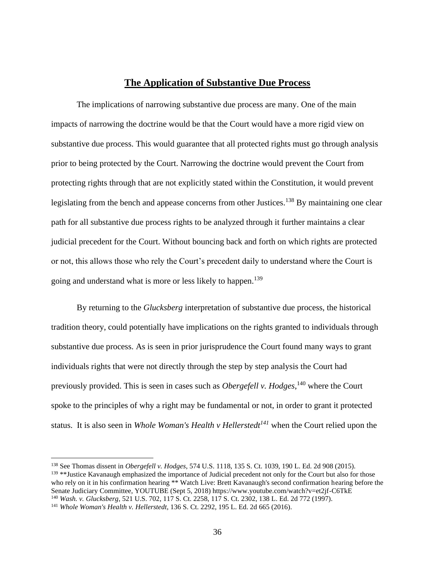# **The Application of Substantive Due Process**

<span id="page-43-0"></span>The implications of narrowing substantive due process are many. One of the main impacts of narrowing the doctrine would be that the Court would have a more rigid view on substantive due process. This would guarantee that all protected rights must go through analysis prior to being protected by the Court. Narrowing the doctrine would prevent the Court from protecting rights through that are not explicitly stated within the Constitution, it would prevent legislating from the bench and appease concerns from other Justices.<sup>138</sup> By maintaining one clear path for all substantive due process rights to be analyzed through it further maintains a clear judicial precedent for the Court. Without bouncing back and forth on which rights are protected or not, this allows those who rely the Court's precedent daily to understand where the Court is going and understand what is more or less likely to happen.<sup>139</sup>

By returning to the *Glucksberg* interpretation of substantive due process, the historical tradition theory, could potentially have implications on the rights granted to individuals through substantive due process. As is seen in prior jurisprudence the Court found many ways to grant individuals rights that were not directly through the step by step analysis the Court had previously provided. This is seen in cases such as *Obergefell v. Hodges*,<sup>140</sup> where the Court spoke to the principles of why a right may be fundamental or not, in order to grant it protected status. It is also seen in *Whole Woman's Health v Hellerstedt<sup>141</sup>* when the Court relied upon the

<sup>138</sup> See Thomas dissent in *Obergefell v. Hodges*, 574 U.S. 1118, 135 S. Ct. 1039, 190 L. Ed. 2d 908 (2015). 139 \*\*Justice Kavanaugh emphasized the importance of Judicial precedent not only for the Court but also for those who rely on it in his confirmation hearing \*\* Watch Live: Brett Kavanaugh's second confirmation hearing before the Senate Judiciary Committee, YOUTUBE (Sept 5, 2018) https://www.youtube.com/watch?v=et2jf-C6TkE <sup>140</sup> *Wash. v. Glucksberg*, 521 U.S. 702, 117 S. Ct. 2258, 117 S. Ct. 2302, 138 L. Ed. 2d 772 (1997). <sup>141</sup> *Whole Woman's Health v. Hellerstedt*, 136 S. Ct. 2292, 195 L. Ed. 2d 665 (2016).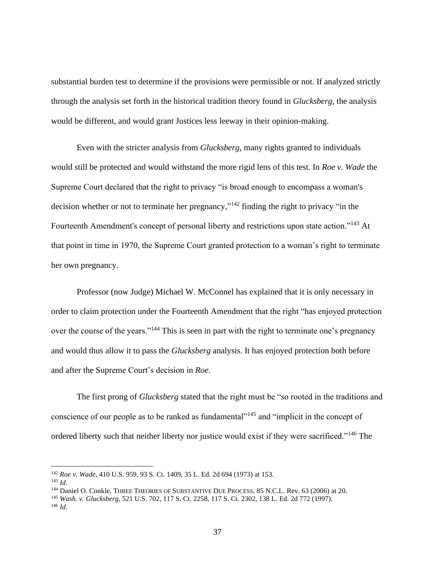substantial burden test to determine if the provisions were permissible or not. If analyzed strictly through the analysis set forth in the historical tradition theory found in *Glucksberg*, the analysis would be different, and would grant Justices less leeway in their opinion-making.

Even with the stricter analysis from *Glucksberg*, many rights granted to individuals would still be protected and would withstand the more rigid lens of this test. In *Roe v. Wade* the Supreme Court declared that the right to privacy "is broad enough to encompass a woman's decision whether or not to terminate her pregnancy,"<sup>142</sup> finding the right to privacy "in the Fourteenth Amendment's concept of personal liberty and restrictions upon state action."<sup>143</sup> At that point in time in 1970, the Supreme Court granted protection to a woman's right to terminate her own pregnancy.

Professor (now Judge) Michael W. McConnel has explained that it is only necessary in order to claim protection under the Fourteenth Amendment that the right "has enjoyed protection over the course of the years."<sup>144</sup> This is seen in part with the right to terminate one's pregnancy and would thus allow it to pass the *Glucksberg* analysis. It has enjoyed protection both before and after the Supreme Court's decision in *Roe*.

The first prong of *Glucksberg* stated that the right must be "so rooted in the traditions and conscience of our people as to be ranked as fundamental"<sup>145</sup> and "implicit in the concept of ordered liberty such that neither liberty nor justice would exist if they were sacrificed."<sup>146</sup> The

<sup>142</sup> *Roe v. Wade*, 410 U.S. 959, 93 S. Ct. 1409, 35 L. Ed. 2d 694 (1973) at 153.

<sup>143</sup> *Id*.

<sup>&</sup>lt;sup>144</sup> Daniel O. Conkle, THREE THEORIES OF SUBSTANTIVE DUE PROCESS, 85 N.C.L. Rev. 63 (2006) at 20.

<sup>145</sup> *Wash. v. Glucksberg*, 521 U.S. 702, 117 S. Ct. 2258, 117 S. Ct. 2302, 138 L. Ed. 2d 772 (1997).

<sup>146</sup> *Id*.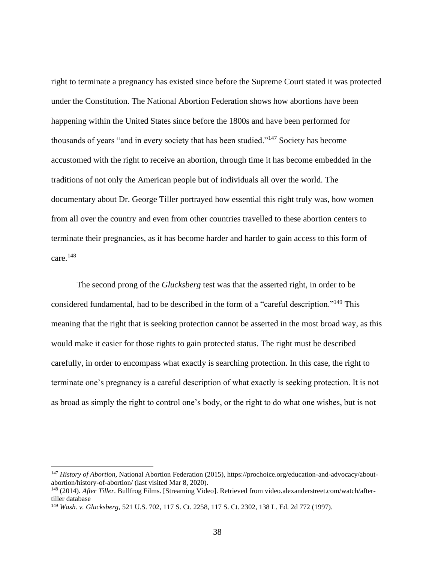right to terminate a pregnancy has existed since before the Supreme Court stated it was protected under the Constitution. The National Abortion Federation shows how abortions have been happening within the United States since before the 1800s and have been performed for thousands of years "and in every society that has been studied."<sup>147</sup> Society has become accustomed with the right to receive an abortion, through time it has become embedded in the traditions of not only the American people but of individuals all over the world. The documentary about Dr. George Tiller portrayed how essential this right truly was, how women from all over the country and even from other countries travelled to these abortion centers to terminate their pregnancies, as it has become harder and harder to gain access to this form of care.<sup>148</sup>

The second prong of the *Glucksberg* test was that the asserted right, in order to be considered fundamental, had to be described in the form of a "careful description."<sup>149</sup> This meaning that the right that is seeking protection cannot be asserted in the most broad way, as this would make it easier for those rights to gain protected status. The right must be described carefully, in order to encompass what exactly is searching protection. In this case, the right to terminate one's pregnancy is a careful description of what exactly is seeking protection. It is not as broad as simply the right to control one's body, or the right to do what one wishes, but is not

<sup>147</sup> *History of Abortion*, National Abortion Federation (2015), https://prochoice.org/education-and-advocacy/aboutabortion/history-of-abortion/ (last visited Mar 8, 2020).

<sup>148</sup> (2014). *After Tiller*. Bullfrog Films. [Streaming Video]. Retrieved from video.alexanderstreet.com/watch/aftertiller database

<sup>149</sup> *Wash. v. Glucksberg*, 521 U.S. 702, 117 S. Ct. 2258, 117 S. Ct. 2302, 138 L. Ed. 2d 772 (1997).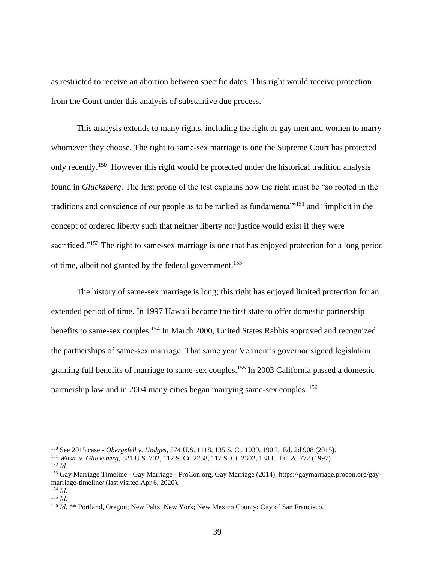as restricted to receive an abortion between specific dates. This right would receive protection from the Court under this analysis of substantive due process.

This analysis extends to many rights, including the right of gay men and women to marry whomever they choose. The right to same-sex marriage is one the Supreme Court has protected only recently.<sup>150</sup> However this right would be protected under the historical tradition analysis found in *Glucksberg*. The first prong of the test explains how the right must be "so rooted in the traditions and conscience of our people as to be ranked as fundamental"<sup>151</sup> and "implicit in the concept of ordered liberty such that neither liberty nor justice would exist if they were sacrificed."<sup>152</sup> The right to same-sex marriage is one that has enjoyed protection for a long period of time, albeit not granted by the federal government.<sup>153</sup>

The history of same-sex marriage is long; this right has enjoyed limited protection for an extended period of time. In 1997 Hawaii became the first state to offer domestic partnership benefits to same-sex couples.<sup>154</sup> In March 2000, United States Rabbis approved and recognized the partnerships of same-sex marriage. That same year Vermont's governor signed legislation granting full benefits of marriage to same-sex couples.<sup>155</sup> In 2003 California passed a domestic partnership law and in 2004 many cities began marrying same-sex couples. <sup>156</sup>

<sup>150</sup> See 2015 case - *Obergefell v. Hodges*, 574 U.S. 1118, 135 S. Ct. 1039, 190 L. Ed. 2d 908 (2015).

<sup>151</sup> *Wash. v. Glucksberg*, 521 U.S. 702, 117 S. Ct. 2258, 117 S. Ct. 2302, 138 L. Ed. 2d 772 (1997). <sup>152</sup> *Id*.

<sup>153</sup> Gay Marriage Timeline - Gay Marriage - ProCon.org, Gay Marriage (2014), https://gaymarriage.procon.org/gaymarriage-timeline/ (last visited Apr 6, 2020).

<sup>154</sup> *Id*.

<sup>155</sup> *Id*.

<sup>&</sup>lt;sup>156</sup> *Id.* \*\* Portland, Oregon; New Paltz, New York; New Mexico County; City of San Francisco.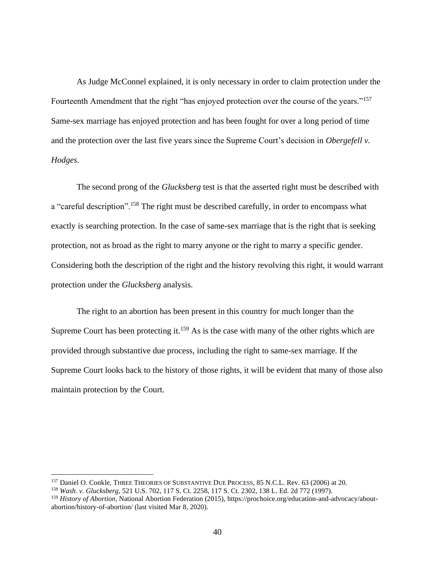As Judge McConnel explained, it is only necessary in order to claim protection under the Fourteenth Amendment that the right "has enjoyed protection over the course of the years."<sup>157</sup> Same-sex marriage has enjoyed protection and has been fought for over a long period of time and the protection over the last five years since the Supreme Court's decision in *Obergefell v. Hodges*.

The second prong of the *Glucksberg* test is that the asserted right must be described with a "careful description".<sup>158</sup> The right must be described carefully, in order to encompass what exactly is searching protection. In the case of same-sex marriage that is the right that is seeking protection, not as broad as the right to marry anyone or the right to marry a specific gender. Considering both the description of the right and the history revolving this right, it would warrant protection under the *Glucksberg* analysis.

The right to an abortion has been present in this country for much longer than the Supreme Court has been protecting it.<sup>159</sup> As is the case with many of the other rights which are provided through substantive due process, including the right to same-sex marriage. If the Supreme Court looks back to the history of those rights, it will be evident that many of those also maintain protection by the Court.

<sup>&</sup>lt;sup>157</sup> Daniel O. Conkle, THREE THEORIES OF SUBSTANTIVE DUE PROCESS, 85 N.C.L. Rev. 63 (2006) at 20.

<sup>158</sup> *Wash. v. Glucksberg*, 521 U.S. 702, 117 S. Ct. 2258, 117 S. Ct. 2302, 138 L. Ed. 2d 772 (1997).

<sup>159</sup> *History of Abortion*, National Abortion Federation (2015), https://prochoice.org/education-and-advocacy/aboutabortion/history-of-abortion/ (last visited Mar 8, 2020).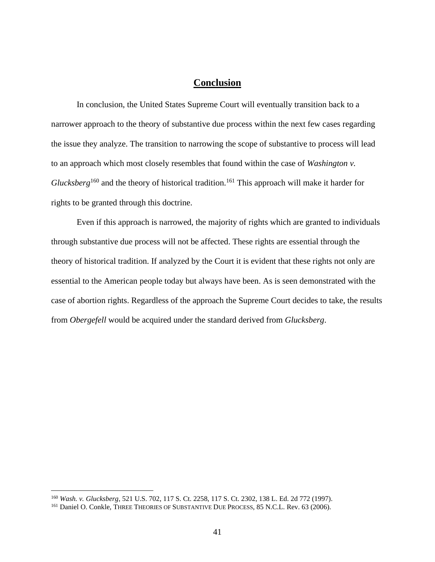# **Conclusion**

<span id="page-48-0"></span>In conclusion, the United States Supreme Court will eventually transition back to a narrower approach to the theory of substantive due process within the next few cases regarding the issue they analyze. The transition to narrowing the scope of substantive to process will lead to an approach which most closely resembles that found within the case of *Washington v. Glucksberg*<sup>160</sup> and the theory of historical tradition.<sup>161</sup> This approach will make it harder for rights to be granted through this doctrine.

Even if this approach is narrowed, the majority of rights which are granted to individuals through substantive due process will not be affected. These rights are essential through the theory of historical tradition. If analyzed by the Court it is evident that these rights not only are essential to the American people today but always have been. As is seen demonstrated with the case of abortion rights. Regardless of the approach the Supreme Court decides to take, the results from *Obergefell* would be acquired under the standard derived from *Glucksberg*.

<sup>160</sup> *Wash. v. Glucksberg*, 521 U.S. 702, 117 S. Ct. 2258, 117 S. Ct. 2302, 138 L. Ed. 2d 772 (1997).

<sup>161</sup> Daniel O. Conkle, THREE THEORIES OF SUBSTANTIVE DUE PROCESS, 85 N.C.L. Rev. 63 (2006).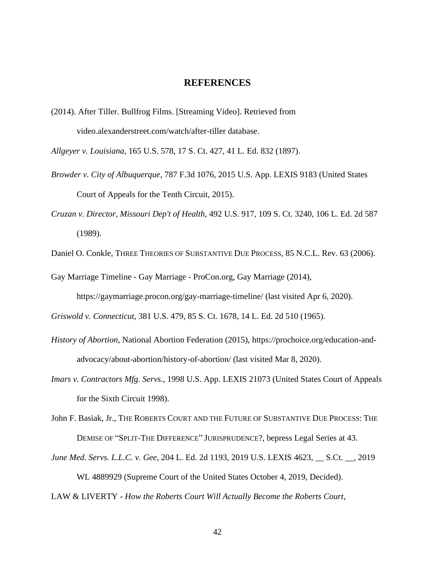## **REFERENCES**

- (2014). After Tiller. Bullfrog Films. [Streaming Video]. Retrieved from video.alexanderstreet.com/watch/after-tiller database.
- *Allgeyer v. Louisiana*, 165 U.S. 578, 17 S. Ct. 427, 41 L. Ed. 832 (1897).
- *Browder v. City of Albuquerque*, 787 F.3d 1076, 2015 U.S. App. LEXIS 9183 (United States Court of Appeals for the Tenth Circuit, 2015).
- *Cruzan v. Director, Missouri Dep't of Health*, 492 U.S. 917, 109 S. Ct. 3240, 106 L. Ed. 2d 587 (1989).

Daniel O. Conkle, THREE THEORIES OF SUBSTANTIVE DUE PROCESS, 85 N.C.L. Rev. 63 (2006).

Gay Marriage Timeline - Gay Marriage - ProCon.org, Gay Marriage (2014),

https://gaymarriage.procon.org/gay-marriage-timeline/ (last visited Apr 6, 2020).

*Griswold v. Connecticut*, 381 U.S. 479, 85 S. Ct. 1678, 14 L. Ed. 2d 510 (1965).

- *History of Abortion*, National Abortion Federation (2015), https://prochoice.org/education-andadvocacy/about-abortion/history-of-abortion/ (last visited Mar 8, 2020).
- *Imars v. Contractors Mfg. Servs.*, 1998 U.S. App. LEXIS 21073 (United States Court of Appeals for the Sixth Circuit 1998).
- John F. Basiak, Jr., THE ROBERTS COURT AND THE FUTURE OF SUBSTANTIVE DUE PROCESS: THE DEMISE OF "SPLIT-THE DIFFERENCE" JURISPRUDENCE?, bepress Legal Series at 43.
- *June Med. Servs. L.L.C. v. Gee*, 204 L. Ed. 2d 1193, 2019 U.S. LEXIS 4623, \_\_ S.Ct. \_\_, 2019 WL 4889929 (Supreme Court of the United States October 4, 2019, Decided).

LAW & LIVERTY - *How the Roberts Court Will Actually Become the Roberts Court*,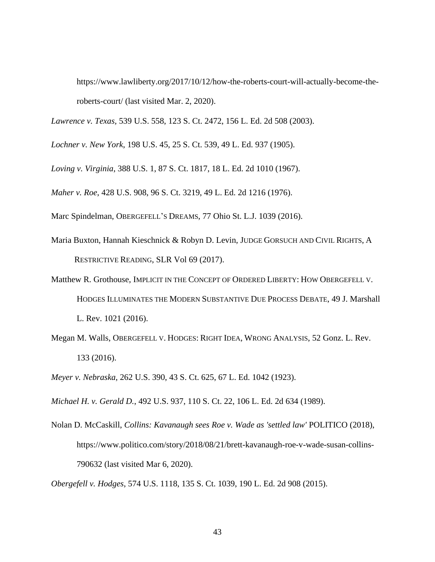https://www.lawliberty.org/2017/10/12/how-the-roberts-court-will-actually-become-theroberts-court/ (last visited Mar. 2, 2020).

*Lawrence v. Texas,* 539 U.S. 558, 123 S. Ct. 2472, 156 L. Ed. 2d 508 (2003).

*Lochner v. New York*, 198 U.S. 45, 25 S. Ct. 539, 49 L. Ed. 937 (1905).

*Loving v. Virginia*, 388 U.S. 1, 87 S. Ct. 1817, 18 L. Ed. 2d 1010 (1967).

*Maher v. Roe*, 428 U.S. 908, 96 S. Ct. 3219, 49 L. Ed. 2d 1216 (1976).

Marc Spindelman, OBERGEFELL'S DREAMS, 77 Ohio St. L.J. 1039 (2016).

- Maria Buxton, Hannah Kieschnick & Robyn D. Levin, JUDGE GORSUCH AND CIVIL RIGHTS, A RESTRICTIVE READING, SLR Vol 69 (2017).
- Matthew R. Grothouse, IMPLICIT IN THE CONCEPT OF ORDERED LIBERTY: HOW OBERGEFELL V. HODGES ILLUMINATES THE MODERN SUBSTANTIVE DUE PROCESS DEBATE, 49 J. Marshall L. Rev. 1021 (2016).
- Megan M. Walls, OBERGEFELL V. HODGES: RIGHT IDEA, WRONG ANALYSIS, 52 Gonz. L. Rev. 133 (2016).

*Meyer v. Nebraska*, 262 U.S. 390, 43 S. Ct. 625, 67 L. Ed. 1042 (1923).

*Michael H. v. Gerald D.*, 492 U.S. 937, 110 S. Ct. 22, 106 L. Ed. 2d 634 (1989).

Nolan D. McCaskill, *Collins: Kavanaugh sees Roe v. Wade as 'settled law'* POLITICO (2018), https://www.politico.com/story/2018/08/21/brett-kavanaugh-roe-v-wade-susan-collins-790632 (last visited Mar 6, 2020).

*Obergefell v. Hodges*, 574 U.S. 1118, 135 S. Ct. 1039, 190 L. Ed. 2d 908 (2015).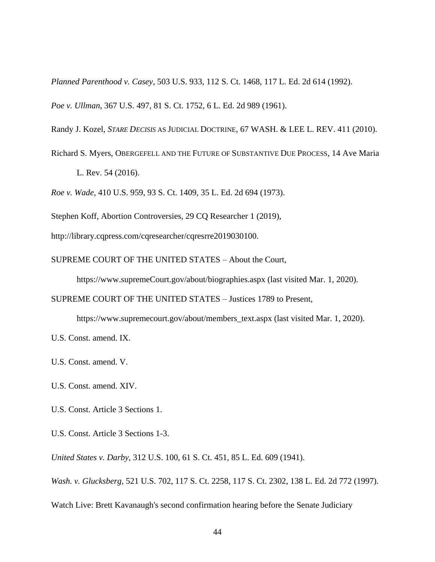*Planned Parenthood v. Casey*, 503 U.S. 933, 112 S. Ct. 1468, 117 L. Ed. 2d 614 (1992).

*Poe v. Ullman*, 367 U.S. 497, 81 S. Ct. 1752, 6 L. Ed. 2d 989 (1961).

Randy J. Kozel, *STARE DECISIS* AS JUDICIAL DOCTRINE, 67 WASH. & LEE L. REV. 411 (2010).

Richard S. Myers, OBERGEFELL AND THE FUTURE OF SUBSTANTIVE DUE PROCESS, 14 Ave Maria L. Rev. 54 (2016).

*Roe v. Wade*, 410 U.S. 959, 93 S. Ct. 1409, 35 L. Ed. 2d 694 (1973).

Stephen Koff, Abortion Controversies, 29 CQ Researcher 1 (2019),

http://library.cqpress.com/cqresearcher/cqresrre2019030100.

SUPREME COURT OF THE UNITED STATES – About the Court,

https://www.supremeCourt.gov/about/biographies.aspx (last visited Mar. 1, 2020).

SUPREME COURT OF THE UNITED STATES – Justices 1789 to Present,

https://www.supremecourt.gov/about/members\_text.aspx (last visited Mar. 1, 2020).

U.S. Const. amend. IX.

U.S. Const. amend. V.

U.S. Const. amend. XIV.

U.S. Const. Article 3 Sections 1.

U.S. Const. Article 3 Sections 1-3.

*United States v. Darby*, 312 U.S. 100, 61 S. Ct. 451, 85 L. Ed. 609 (1941).

*Wash. v. Glucksberg*, 521 U.S. 702, 117 S. Ct. 2258, 117 S. Ct. 2302, 138 L. Ed. 2d 772 (1997).

Watch Live: Brett Kavanaugh's second confirmation hearing before the Senate Judiciary